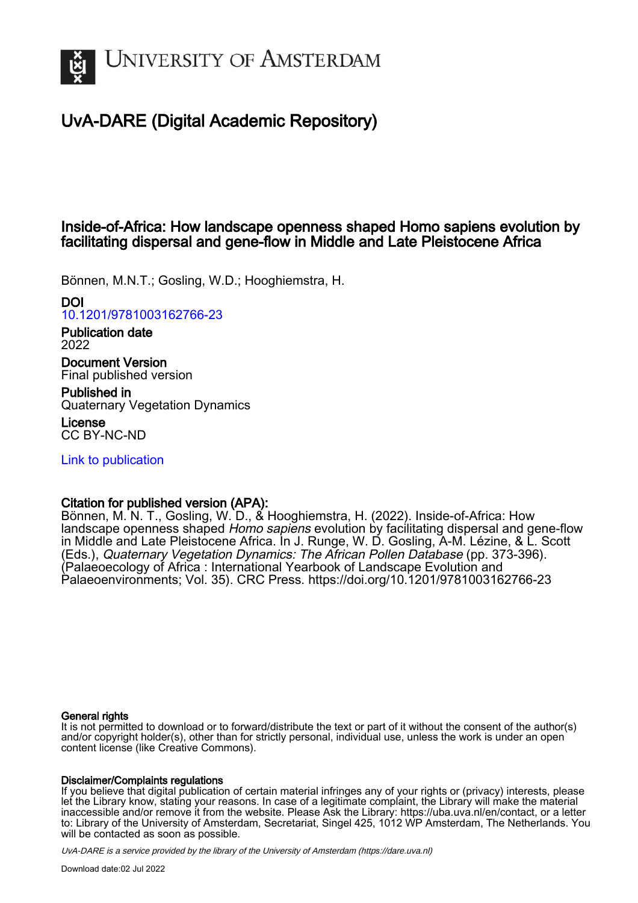

# UvA-DARE (Digital Academic Repository)

# Inside-of-Africa: How landscape openness shaped Homo sapiens evolution by facilitating dispersal and gene-flow in Middle and Late Pleistocene Africa

Bönnen, M.N.T.; Gosling, W.D.; Hooghiemstra, H.

# DOI

[10.1201/9781003162766-23](https://doi.org/10.1201/9781003162766-23)

Publication date 2022

Document Version Final published version

Published in Quaternary Vegetation Dynamics

License CC BY-NC-ND

[Link to publication](https://dare.uva.nl/personal/pure/en/publications/insideofafrica-how-landscape-openness-shaped-homo-sapiens-evolution-by-facilitating-dispersal-and-geneflow-in-middle-and-late-pleistocene-africa(f01f0c02-84e0-4cb6-a103-1b52a3999c96).html)

# Citation for published version (APA):

Bönnen, M. N. T., Gosling, W. D., & Hooghiemstra, H. (2022). Inside-of-Africa: How landscape openness shaped Homo sapiens evolution by facilitating dispersal and gene-flow in Middle and Late Pleistocene Africa. In J. Runge, W. D. Gosling, A-M. Lézine, & L. Scott (Eds.), Quaternary Vegetation Dynamics: The African Pollen Database (pp. 373-396). (Palaeoecology of Africa : International Yearbook of Landscape Evolution and Palaeoenvironments; Vol. 35). CRC Press. <https://doi.org/10.1201/9781003162766-23>

# General rights

It is not permitted to download or to forward/distribute the text or part of it without the consent of the author(s) and/or copyright holder(s), other than for strictly personal, individual use, unless the work is under an open content license (like Creative Commons).

# Disclaimer/Complaints regulations

If you believe that digital publication of certain material infringes any of your rights or (privacy) interests, please let the Library know, stating your reasons. In case of a legitimate complaint, the Library will make the material inaccessible and/or remove it from the website. Please Ask the Library: https://uba.uva.nl/en/contact, or a letter to: Library of the University of Amsterdam, Secretariat, Singel 425, 1012 WP Amsterdam, The Netherlands. You will be contacted as soon as possible.

UvA-DARE is a service provided by the library of the University of Amsterdam (http*s*://dare.uva.nl)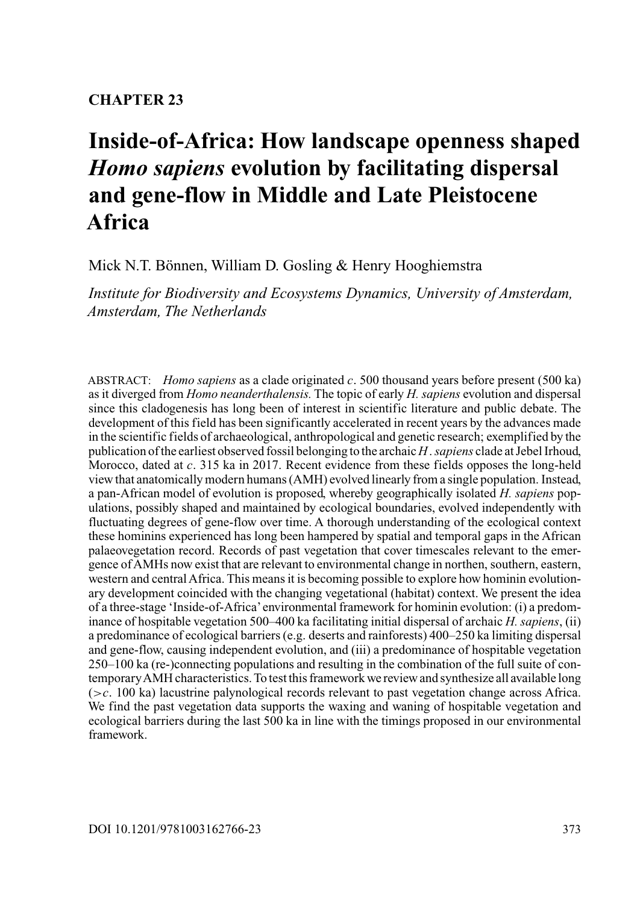# **CHAPTER 23**

# **[Inside-of-Africa: How landscape openness shaped](#page--1-0)** *Homo sapiens* **evolution by facilitating dispersal and gene-flow in Middle and Late Pleistocene Africa**

Mick N.T. Bönnen, William D. Gosling & Henry Hooghiemstra

*Institute for Biodiversity and Ecosystems Dynamics, University of Amsterdam, Amsterdam, The Netherlands*

ABSTRACT: *Homo sapiens* as a clade originated *c.* 500 thousand years before present (500 ka) as it diverged from *Homo neanderthalensis.* The topic of early *H. sapiens* evolution and dispersal since this cladogenesis has long been of interest in scientific literature and public debate. The development of this field has been significantly accelerated in recent years by the advances made in the scientific fields of archaeological, anthropological and genetic research; exemplified by the publication of the earliest observed fossil belonging to the archaic*H*.*sapiens* clade at Jebel Irhoud, Morocco, dated at *c.* 315 ka in 2017. Recent evidence from these fields opposes the long-held view that anatomically modern humans (AMH) evolved linearly from a single population. Instead, a pan-African model of evolution is proposed, whereby geographically isolated *H. sapiens* populations, possibly shaped and maintained by ecological boundaries, evolved independently with fluctuating degrees of gene-flow over time. A thorough understanding of the ecological context these hominins experienced has long been hampered by spatial and temporal gaps in the African palaeovegetation record. Records of past vegetation that cover timescales relevant to the emergence of AMHs now exist that are relevant to environmental change in northen, southern, eastern, western and central Africa. This means it is becoming possible to explore how hominin evolutionary development coincided with the changing vegetational (habitat) context. We present the idea of a three-stage 'Inside-of-Africa'environmental framework for hominin evolution: (i) a predominance of hospitable vegetation 500–400 ka facilitating initial dispersal of archaic *H. sapiens*, (ii) a predominance of ecological barriers (e.g. deserts and rainforests) 400–250 ka limiting dispersal and gene-flow, causing independent evolution, and (iii) a predominance of hospitable vegetation 250–100 ka (re-)connecting populations and resulting in the combination of the full suite of contemporaryAMH characteristics. To test this framework we review and synthesize all available long (*>c.* 100 ka) lacustrine palynological records relevant to past vegetation change across Africa. We find the past vegetation data supports the waxing and waning of hospitable vegetation and ecological barriers during the last 500 ka in line with the timings proposed in our environmental framework.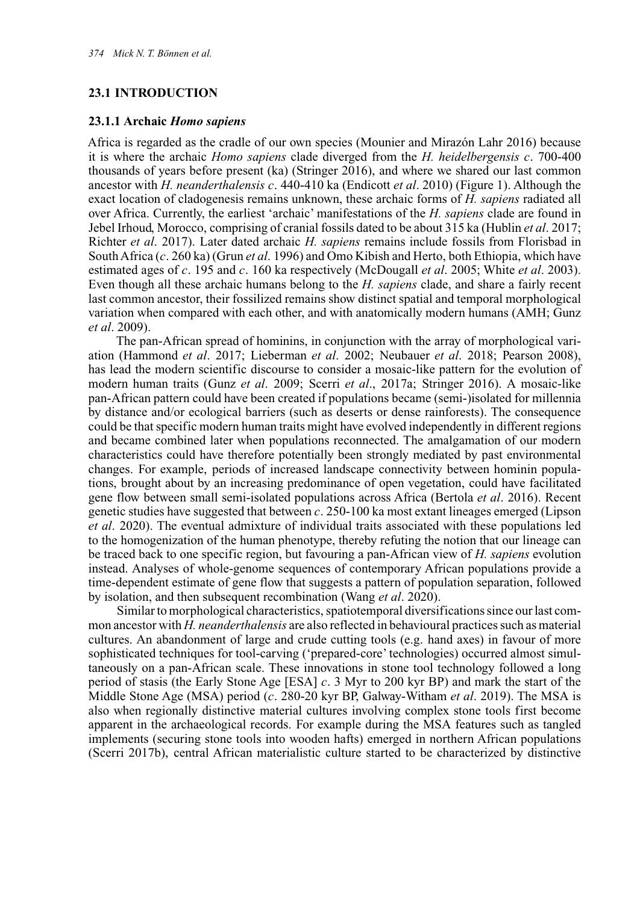## **23.1 INTRODUCTION**

#### **23.1.1 Archaic** *Homo sapiens*

Africa is regarded as the cradle of our own species (Mounier and Mirazón Lahr 2016) because it is where the archaic *Homo sapiens* clade diverged from the *H. heidelbergensis c.* 700-400 thousands of years before present (ka) (Stringer 2016), and where we shared our last common ancestor with *H. neanderthalensis c.* 440-410 ka (Endicott *et al*. 2010) (Figure 1). Although the exact location of cladogenesis remains unknown, these archaic forms of *H. sapiens* radiated all over Africa. Currently, the earliest 'archaic' manifestations of the *H. sapiens* clade are found in Jebel Irhoud, Morocco, comprising of cranial fossils dated to be about 315 ka (Hublin *et al*. 2017; Richter *et al*. 2017). Later dated archaic *H. sapiens* remains include fossils from Florisbad in South Africa (*c.* 260 ka) (Grun *et al*. 1996) and Omo Kibish and Herto, both Ethiopia, which have estimated ages of *c.* 195 and *c.* 160 ka respectively (McDougall *et al*. 2005; White *et al*. 2003). Even though all these archaic humans belong to the *H. sapiens* clade, and share a fairly recent last common ancestor, their fossilized remains show distinct spatial and temporal morphological variation when compared with each other, and with anatomically modern humans (AMH; Gunz *et al*. 2009).

The pan-African spread of hominins, in conjunction with the array of morphological variation (Hammond *et al*. 2017; Lieberman *et al*. 2002; Neubauer *et al*. 2018; Pearson 2008), has lead the modern scientific discourse to consider a mosaic-like pattern for the evolution of modern human traits (Gunz *et al*. 2009; Scerri *et al*., 2017a; Stringer 2016). A mosaic-like pan-African pattern could have been created if populations became (semi-)isolated for millennia by distance and/or ecological barriers (such as deserts or dense rainforests). The consequence could be that specific modern human traits might have evolved independently in different regions and became combined later when populations reconnected. The amalgamation of our modern characteristics could have therefore potentially been strongly mediated by past environmental changes. For example, periods of increased landscape connectivity between hominin populations, brought about by an increasing predominance of open vegetation, could have facilitated gene flow between small semi-isolated populations across Africa (Bertola *et al*. 2016). Recent genetic studies have suggested that between *c.* 250-100 ka most extant lineages emerged (Lipson *et al*. 2020). The eventual admixture of individual traits associated with these populations led to the homogenization of the human phenotype, thereby refuting the notion that our lineage can be traced back to one specific region, but favouring a pan-African view of *H. sapiens* evolution instead. Analyses of whole-genome sequences of contemporary African populations provide a time-dependent estimate of gene flow that suggests a pattern of population separation, followed by isolation, and then subsequent recombination (Wang *et al*. 2020).

Similar to morphological characteristics, spatiotemporal diversifications since our last common ancestor with *H. neanderthalensis* are also reflected in behavioural practices such as material cultures. An abandonment of large and crude cutting tools (e.g. hand axes) in favour of more sophisticated techniques for tool-carving ('prepared-core' technologies) occurred almost simultaneously on a pan-African scale. These innovations in stone tool technology followed a long period of stasis (the Early Stone Age [ESA] *c.* 3 Myr to 200 kyr BP) and mark the start of the Middle Stone Age (MSA) period (*c.* 280-20 kyr BP, Galway-Witham *et al*. 2019). The MSA is also when regionally distinctive material cultures involving complex stone tools first become apparent in the archaeological records. For example during the MSA features such as tangled implements (securing stone tools into wooden hafts) emerged in northern African populations (Scerri 2017b), central African materialistic culture started to be characterized by distinctive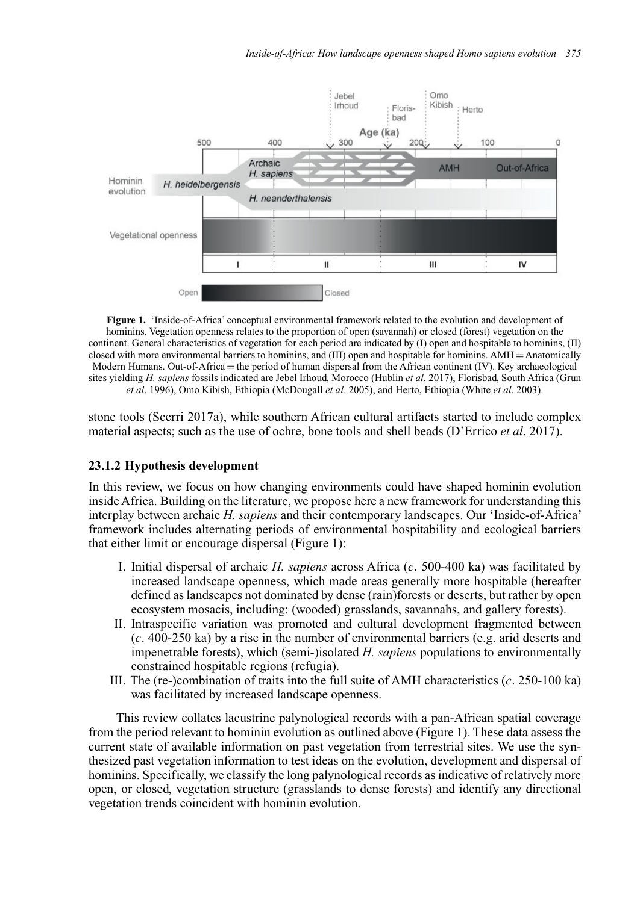

**Figure 1.** 'Inside-of-Africa' conceptual environmental framework related to the evolution and development of hominins. Vegetation openness relates to the proportion of open (savannah) or closed (forest) vegetation on the continent. General characteristics of vegetation for each period are indicated by (I) open and hospitable to hominins, (II) closed with more environmental barriers to hominins, and (III) open and hospitable for hominins. AMH =Anatomically Modern Humans. Out-of-Africa  $=$  the period of human dispersal from the African continent (IV). Key archaeological sites yielding *H. sapiens* fossils indicated are Jebel Irhoud, Morocco (Hublin *et al*. 2017), Florisbad, South Africa (Grun *et al*. 1996), Omo Kibish, Ethiopia (McDougall *et al*. 2005), and Herto, Ethiopia (White *et al*. 2003).

stone tools (Scerri 2017a), while southern African cultural artifacts started to include complex material aspects; such as the use of ochre, bone tools and shell beads (D'Errico *et al*. 2017).

# **23.1.2 Hypothesis development**

In this review, we focus on how changing environments could have shaped hominin evolution inside Africa. Building on the literature, we propose here a new framework for understanding this interplay between archaic *H. sapiens* and their contemporary landscapes. Our 'Inside-of-Africa' framework includes alternating periods of environmental hospitability and ecological barriers that either limit or encourage dispersal (Figure 1):

- I. Initial dispersal of archaic *H. sapiens* across Africa (*c.* 500-400 ka) was facilitated by increased landscape openness, which made areas generally more hospitable (hereafter defined as landscapes not dominated by dense (rain)forests or deserts, but rather by open ecosystem mosacis, including: (wooded) grasslands, savannahs, and gallery forests).
- II. Intraspecific variation was promoted and cultural development fragmented between (*c.* 400-250 ka) by a rise in the number of environmental barriers (e.g. arid deserts and impenetrable forests), which (semi-)isolated *H. sapiens* populations to environmentally constrained hospitable regions (refugia).
- III. The (re-)combination of traits into the full suite of AMH characteristics (*c.* 250-100 ka) was facilitated by increased landscape openness.

This review collates lacustrine palynological records with a pan-African spatial coverage from the period relevant to hominin evolution as outlined above (Figure 1). These data assess the current state of available information on past vegetation from terrestrial sites. We use the synthesized past vegetation information to test ideas on the evolution, development and dispersal of hominins. Specifically, we classify the long palynological records as indicative of relatively more open, or closed, vegetation structure (grasslands to dense forests) and identify any directional vegetation trends coincident with hominin evolution.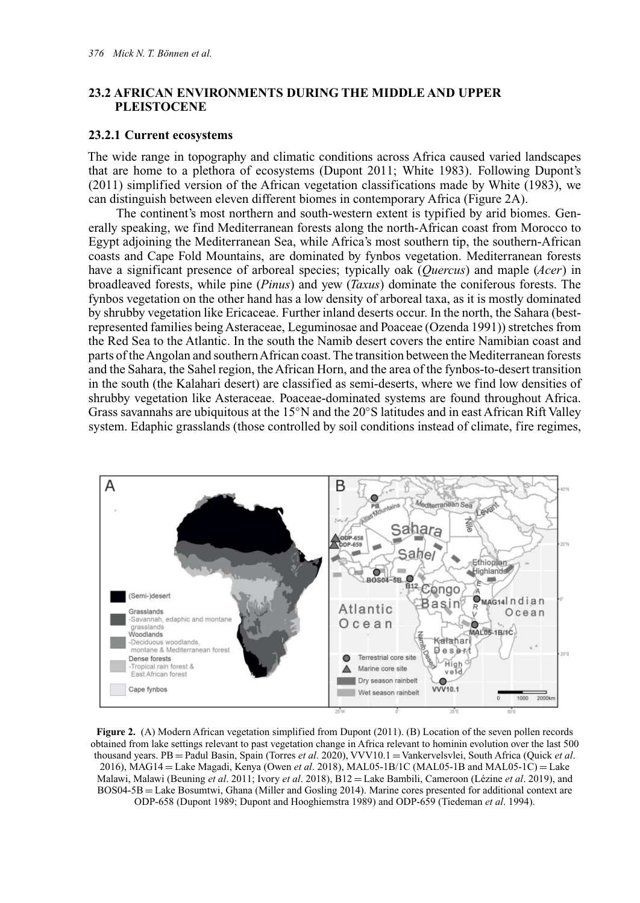# **23.2 AFRICAN ENVIRONMENTS DURING THE MIDDLE AND UPPER PLEISTOCENE**

#### **23.2.1 Current ecosystems**

The wide range in topography and climatic conditions across Africa caused varied landscapes that are home to a plethora of ecosystems (Dupont 2011; White 1983). Following Dupont's (2011) simplified version of the African vegetation classifications made by White (1983), we can distinguish between eleven different biomes in contemporary Africa (Figure 2A).

The continent's most northern and south-western extent is typified by arid biomes. Generally speaking, we find Mediterranean forests along the north-African coast from Morocco to Egypt adjoining the Mediterranean Sea, while Africa's most southern tip, the southern-African coasts and Cape Fold Mountains, are dominated by fynbos vegetation. Mediterranean forests have a significant presence of arboreal species; typically oak (*Quercus*) and maple (*Acer*) in broadleaved forests, while pine (*Pinus*) and yew (*Taxus*) dominate the coniferous forests. The fynbos vegetation on the other hand has a low density of arboreal taxa, as it is mostly dominated by shrubby vegetation like Ericaceae. Further inland deserts occur. In the north, the Sahara (bestrepresented families being Asteraceae, Leguminosae and Poaceae (Ozenda 1991)) stretches from the Red Sea to the Atlantic. In the south the Namib desert covers the entire Namibian coast and parts of the Angolan and southern African coast. The transition between the Mediterranean forests and the Sahara, the Sahel region, the African Horn, and the area of the fynbos-to-desert transition in the south (the Kalahari desert) are classified as semi-deserts, where we find low densities of shrubby vegetation like Asteraceae. Poaceae-dominated systems are found throughout Africa. Grass savannahs are ubiquitous at the 15◦N and the 20◦S latitudes and in east African Rift Valley system. Edaphic grasslands (those controlled by soil conditions instead of climate, fire regimes,



**Figure 2.** (A) Modern African vegetation simplified from Dupont (2011). (B) Location of the seven pollen records obtained from lake settings relevant to past vegetation change in Africa relevant to hominin evolution over the last 500 thousand years. PB = Padul Basin, Spain (Torres *et al.* 2020), VVV10.1 = Vankervelsvlei, South Africa (Quick *et al.*) 2016), MAG14 = Lake Magadi, Kenya (Owen *et al*. 2018), MAL05-1B/1C (MAL05-1B and MAL05-1C) = Lake Malawi, Malawi (Beuning *et al*. 2011; Ivory *et al*. 2018), B12 = Lake Bambili, Cameroon (Lézine *et al*. 2019), and BOS04-5B = Lake Bosumtwi, Ghana (Miller and Gosling 2014). Marine cores presented for additional context are ODP-658 (Dupont 1989; Dupont and Hooghiemstra 1989) and ODP-659 (Tiedeman *et al*. 1994).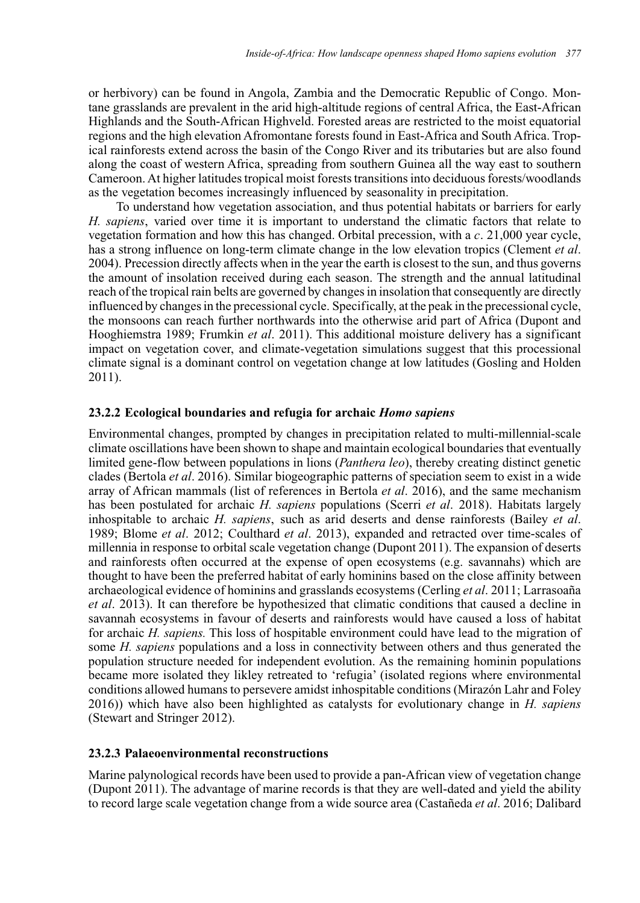or herbivory) can be found in Angola, Zambia and the Democratic Republic of Congo. Montane grasslands are prevalent in the arid high-altitude regions of central Africa, the East-African Highlands and the South-African Highveld. Forested areas are restricted to the moist equatorial regions and the high elevation Afromontane forests found in East-Africa and South Africa. Tropical rainforests extend across the basin of the Congo River and its tributaries but are also found along the coast of western Africa, spreading from southern Guinea all the way east to southern Cameroon. At higher latitudes tropical moist forests transitions into deciduous forests/woodlands as the vegetation becomes increasingly influenced by seasonality in precipitation.

To understand how vegetation association, and thus potential habitats or barriers for early *H. sapiens*, varied over time it is important to understand the climatic factors that relate to vegetation formation and how this has changed. Orbital precession, with a *c.* 21,000 year cycle, has a strong influence on long-term climate change in the low elevation tropics (Clement *et al*. 2004). Precession directly affects when in the year the earth is closest to the sun, and thus governs the amount of insolation received during each season. The strength and the annual latitudinal reach of the tropical rain belts are governed by changes in insolation that consequently are directly influenced by changes in the precessional cycle. Specifically, at the peak in the precessional cycle, the monsoons can reach further northwards into the otherwise arid part of Africa (Dupont and Hooghiemstra 1989; Frumkin *et al*. 2011). This additional moisture delivery has a significant impact on vegetation cover, and climate-vegetation simulations suggest that this processional climate signal is a dominant control on vegetation change at low latitudes (Gosling and Holden 2011).

# **23.2.2 Ecological boundaries and refugia for archaic** *Homo sapiens*

Environmental changes, prompted by changes in precipitation related to multi-millennial-scale climate oscillations have been shown to shape and maintain ecological boundaries that eventually limited gene-flow between populations in lions (*Panthera leo*), thereby creating distinct genetic clades (Bertola *et al*. 2016). Similar biogeographic patterns of speciation seem to exist in a wide array of African mammals (list of references in Bertola *et al*. 2016), and the same mechanism has been postulated for archaic *H. sapiens* populations (Scerri *et al*. 2018). Habitats largely inhospitable to archaic *H. sapiens*, such as arid deserts and dense rainforests (Bailey *et al*. 1989; Blome *et al*. 2012; Coulthard *et al*. 2013), expanded and retracted over time-scales of millennia in response to orbital scale vegetation change (Dupont 2011). The expansion of deserts and rainforests often occurred at the expense of open ecosystems (e.g. savannahs) which are thought to have been the preferred habitat of early hominins based on the close affinity between archaeological evidence of hominins and grasslands ecosystems (Cerling *et al*. 2011; Larrasoaña *et al*. 2013). It can therefore be hypothesized that climatic conditions that caused a decline in savannah ecosystems in favour of deserts and rainforests would have caused a loss of habitat for archaic *H. sapiens.* This loss of hospitable environment could have lead to the migration of some *H. sapiens* populations and a loss in connectivity between others and thus generated the population structure needed for independent evolution. As the remaining hominin populations became more isolated they likley retreated to 'refugia' (isolated regions where environmental conditions allowed humans to persevere amidst inhospitable conditions (Mirazón Lahr and Foley 2016)) which have also been highlighted as catalysts for evolutionary change in *H. sapiens* (Stewart and Stringer 2012).

# **23.2.3 Palaeoenvironmental reconstructions**

Marine palynological records have been used to provide a pan-African view of vegetation change (Dupont 2011). The advantage of marine records is that they are well-dated and yield the ability to record large scale vegetation change from a wide source area (Castañeda *et al*. 2016; Dalibard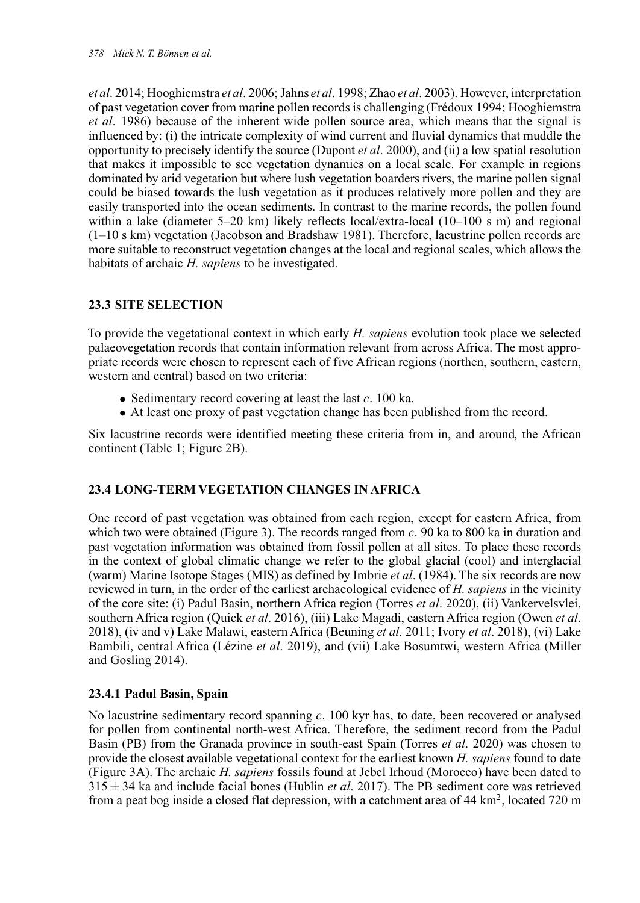*et al*. 2014; Hooghiemstra *et al*. 2006; Jahns *et al*. 1998; Zhao *et al*. 2003). However, interpretation of past vegetation cover from marine pollen records is challenging (Frédoux 1994; Hooghiemstra *et al*. 1986) because of the inherent wide pollen source area, which means that the signal is influenced by: (i) the intricate complexity of wind current and fluvial dynamics that muddle the opportunity to precisely identify the source (Dupont *et al*. 2000), and (ii) a low spatial resolution that makes it impossible to see vegetation dynamics on a local scale. For example in regions dominated by arid vegetation but where lush vegetation boarders rivers, the marine pollen signal could be biased towards the lush vegetation as it produces relatively more pollen and they are easily transported into the ocean sediments. In contrast to the marine records, the pollen found within a lake (diameter 5–20 km) likely reflects local/extra-local (10–100 s m) and regional (1–10 s km) vegetation (Jacobson and Bradshaw 1981). Therefore, lacustrine pollen records are more suitable to reconstruct vegetation changes at the local and regional scales, which allows the habitats of archaic *H. sapiens* to be investigated.

# **23.3 SITE SELECTION**

To provide the vegetational context in which early *H. sapiens* evolution took place we selected palaeovegetation records that contain information relevant from across Africa. The most appropriate records were chosen to represent each of five African regions (northen, southern, eastern, western and central) based on two criteria:

- Sedimentary record covering at least the last *c.* 100 ka.
- At least one proxy of past vegetation change has been published from the record.

Six lacustrine records were identified meeting these criteria from in, and around, the African continent (Table 1; Figure 2B).

# **23.4 LONG-TERM VEGETATION CHANGES IN AFRICA**

One record of past vegetation was obtained from each region, except for eastern Africa, from which two were obtained (Figure 3). The records ranged from *c.* 90 ka to 800 ka in duration and past vegetation information was obtained from fossil pollen at all sites. To place these records in the context of global climatic change we refer to the global glacial (cool) and interglacial (warm) Marine Isotope Stages (MIS) as defined by Imbrie *et al*. (1984). The six records are now reviewed in turn, in the order of the earliest archaeological evidence of *H. sapiens* in the vicinity of the core site: (i) Padul Basin, northern Africa region (Torres *et al*. 2020), (ii) Vankervelsvlei, southern Africa region (Quick *et al*. 2016), (iii) Lake Magadi, eastern Africa region (Owen *et al*. 2018), (iv and v) Lake Malawi, eastern Africa (Beuning *et al*. 2011; Ivory *et al*. 2018), (vi) Lake Bambili, central Africa (Lézine *et al*. 2019), and (vii) Lake Bosumtwi, western Africa (Miller and Gosling 2014).

# **23.4.1 Padul Basin, Spain**

No lacustrine sedimentary record spanning *c.* 100 kyr has, to date, been recovered or analysed for pollen from continental north-west Africa. Therefore, the sediment record from the Padul Basin (PB) from the Granada province in south-east Spain (Torres *et al*. 2020) was chosen to provide the closest available vegetational context for the earliest known *H. sapiens* found to date (Figure 3A). The archaic *H. sapiens* fossils found at Jebel Irhoud (Morocco) have been dated to 315 ± 34 ka and include facial bones (Hublin *et al*. 2017). The PB sediment core was retrieved from a peat bog inside a closed flat depression, with a catchment area of  $44 \text{ km}^2$ , located  $720 \text{ m}$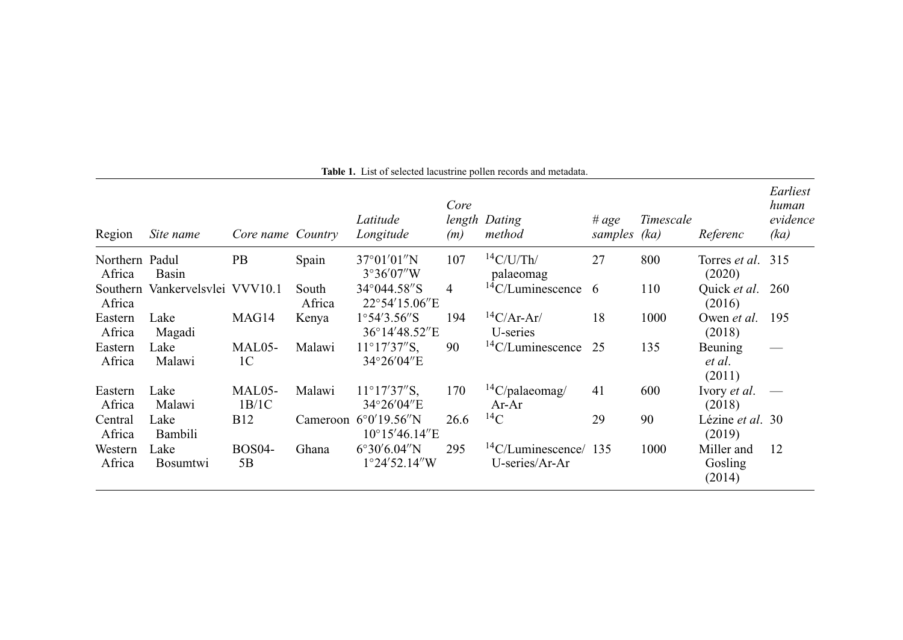|                          |                        |                          |                 |                                                    |             | Table 1. List of selected lacustrine pollen records and metadata. |                         |           |                                 |                                       |
|--------------------------|------------------------|--------------------------|-----------------|----------------------------------------------------|-------------|-------------------------------------------------------------------|-------------------------|-----------|---------------------------------|---------------------------------------|
| Region                   | Site name              | Core name Country        |                 | Latitude<br>Longitude                              | Core<br>(m) | length Dating<br>method                                           | # $age$<br>samples (ka) | Timescale | Referenc                        | Earliest<br>human<br>evidence<br>(ka) |
| Northern Padul<br>Africa | Basin                  | PB                       | Spain           | 37°01'01"N<br>3°36'07"W                            | 107         | $14$ C/U/Th/<br>palaeomag                                         | 27                      | 800       | Torres <i>et al.</i><br>(2020)  | 315                                   |
| Southern<br>Africa       | Vankervelsvlei VVV10.1 |                          | South<br>Africa | 34°044.58"S<br>22°54'15.06"E                       | 4           | $14$ C/Luminescence                                               | 6                       | 110       | Quick et al.<br>(2016)          | 260                                   |
| Eastern<br>Africa        | Lake<br>Magadi         | MAG14                    | Kenya           | 1°54'3.56''S<br>36°14'48.52"E                      | 194         | $14C/Ar-Ar/$<br>U-series                                          | 18                      | 1000      | Owen <i>et al</i> .<br>(2018)   | 195                                   |
| Eastern<br>Africa        | Lake<br>Malawi         | MAL05-<br>1 <sup>C</sup> | Malawi          | $11^{\circ}17'37''$ S,<br>34°26′04″E               | 90          | $14$ C/Luminescence                                               | 25                      | 135       | Beuning<br>et al.<br>(2011)     |                                       |
| Eastern<br>Africa        | Lake<br>Malawi         | MAL05-<br>1B/1C          | Malawi          | $11^{\circ}17'37''S$ ,<br>34°26′04″E               | 170         | 14C/palaeomag/<br>Ar-Ar                                           | 41                      | 600       | Ivory et al.<br>(2018)          |                                       |
| Central<br>Africa        | Lake<br>Bambili        | <b>B12</b>               |                 | Cameroon $6°0'19.56''N$<br>$10^{\circ}15'46.14''E$ | 26.6        | ${}^{14}C$                                                        | 29                      | 90        | Lézine et al. 30<br>(2019)      |                                       |
| Western<br>Africa        | Lake<br>Bosumtwi       | <b>BOS04-</b><br>5B      | Ghana           | $6^{\circ}30'6.04''N$<br>1°24'52.14"W              | 295         | $14$ C/Luminescence/ 135<br>U-series/Ar-Ar                        |                         | 1000      | Miller and<br>Gosling<br>(2014) | 12                                    |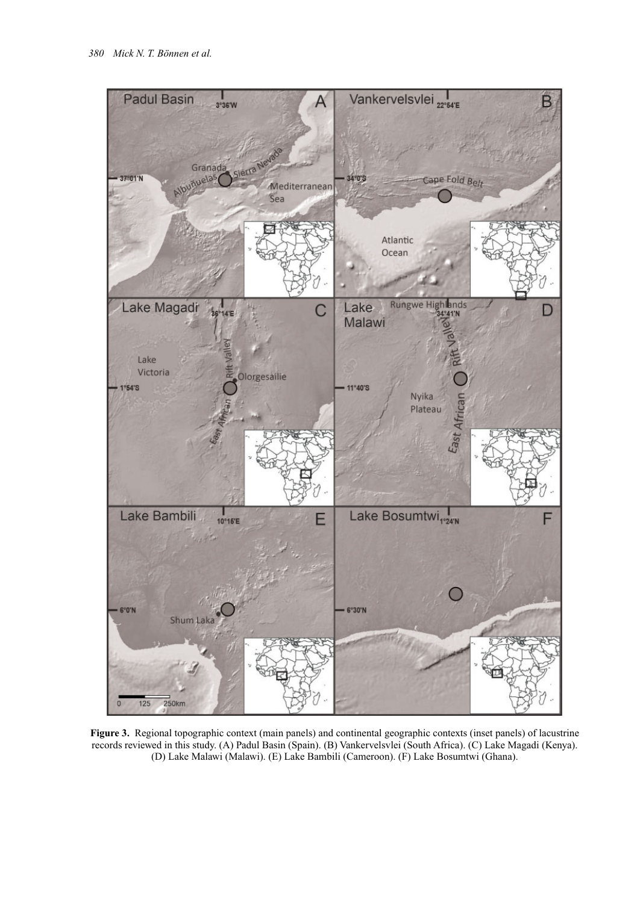

**Figure 3.** Regional topographic context (main panels) and continental geographic contexts (inset panels) of lacustrine records reviewed in this study. (A) Padul Basin (Spain). (B) Vankervelsvlei (South Africa). (C) Lake Magadi (Kenya). (D) Lake Malawi (Malawi). (E) Lake Bambili (Cameroon). (F) Lake Bosumtwi (Ghana).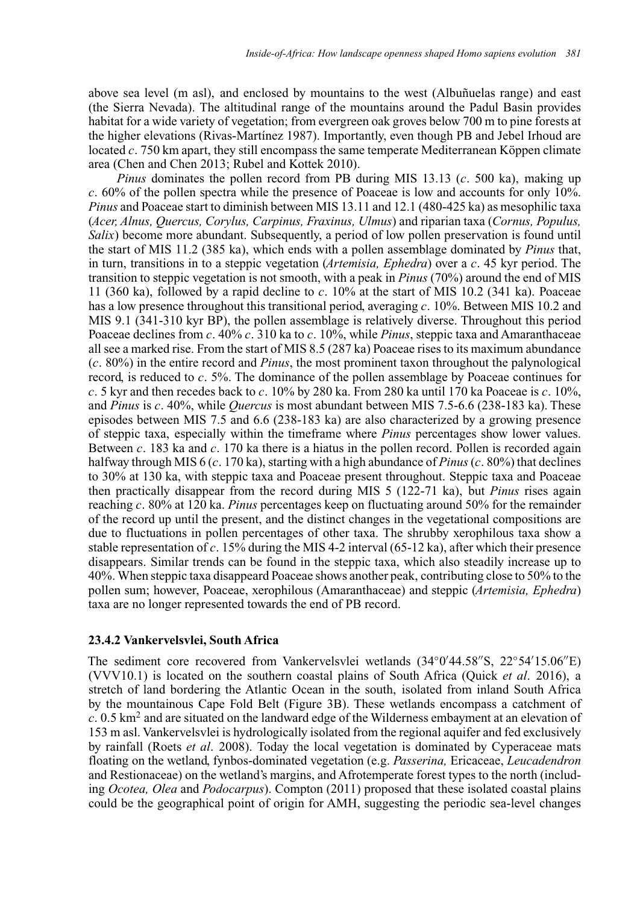above sea level (m asl), and enclosed by mountains to the west (Albuñuelas range) and east (the Sierra Nevada). The altitudinal range of the mountains around the Padul Basin provides habitat for a wide variety of vegetation; from evergreen oak groves below 700 m to pine forests at the higher elevations (Rivas-Martínez 1987). Importantly, even though PB and Jebel Irhoud are located *c.* 750 km apart, they still encompass the same temperate Mediterranean Köppen climate area (Chen and Chen 2013; Rubel and Kottek 2010).

*Pinus* dominates the pollen record from PB during MIS 13.13 (*c.* 500 ka), making up *c.* 60% of the pollen spectra while the presence of Poaceae is low and accounts for only 10%. *Pinus* and Poaceae start to diminish between MIS 13.11 and 12.1 (480-425 ka) as mesophilic taxa (*Acer, Alnus, Quercus, Corylus, Carpinus, Fraxinus, Ulmus*) and riparian taxa (*Cornus, Populus, Salix*) become more abundant. Subsequently, a period of low pollen preservation is found until the start of MIS 11.2 (385 ka), which ends with a pollen assemblage dominated by *Pinus* that, in turn, transitions in to a steppic vegetation (*Artemisia, Ephedra*) over a *c.* 45 kyr period. The transition to steppic vegetation is not smooth, with a peak in *Pinus* (70%) around the end of MIS 11 (360 ka), followed by a rapid decline to *c.* 10% at the start of MIS 10.2 (341 ka). Poaceae has a low presence throughout this transitional period, averaging *c.* 10%. Between MIS 10.2 and MIS 9.1 (341-310 kyr BP), the pollen assemblage is relatively diverse. Throughout this period Poaceae declines from *c.* 40% *c.* 310 ka to *c.* 10%, while *Pinus*, steppic taxa and Amaranthaceae all see a marked rise. From the start of MIS 8.5 (287 ka) Poaceae rises to its maximum abundance (*c.* 80%) in the entire record and *Pinus*, the most prominent taxon throughout the palynological record, is reduced to *c.* 5%. The dominance of the pollen assemblage by Poaceae continues for *c.* 5 kyr and then recedes back to *c.* 10% by 280 ka. From 280 ka until 170 ka Poaceae is *c.* 10%, and *Pinus* is *c.* 40%, while *Quercus* is most abundant between MIS 7.5-6.6 (238-183 ka). These episodes between MIS 7.5 and 6.6 (238-183 ka) are also characterized by a growing presence of steppic taxa, especially within the timeframe where *Pinus* percentages show lower values. Between *c.* 183 ka and *c.* 170 ka there is a hiatus in the pollen record. Pollen is recorded again halfway through MIS 6 (*c.* 170 ka), starting with a high abundance of *Pinus*(*c.* 80%) that declines to 30% at 130 ka, with steppic taxa and Poaceae present throughout. Steppic taxa and Poaceae then practically disappear from the record during MIS 5 (122-71 ka), but *Pinus* rises again reaching *c.* 80% at 120 ka. *Pinus* percentages keep on fluctuating around 50% for the remainder of the record up until the present, and the distinct changes in the vegetational compositions are due to fluctuations in pollen percentages of other taxa. The shrubby xerophilous taxa show a stable representation of *c.* 15% during the MIS 4-2 interval (65-12 ka), after which their presence disappears. Similar trends can be found in the steppic taxa, which also steadily increase up to 40%. When steppic taxa disappeard Poaceae shows another peak, contributing close to 50% to the pollen sum; however, Poaceae, xerophilous (Amaranthaceae) and steppic (*Artemisia, Ephedra*) taxa are no longer represented towards the end of PB record.

#### **23.4.2 Vankervelsvlei, South Africa**

The sediment core recovered from Vankervelsvlei wetlands (34°0'44.58"S, 22°54'15.06"E) (VVV10.1) is located on the southern coastal plains of South Africa (Quick *et al*. 2016), a stretch of land bordering the Atlantic Ocean in the south, isolated from inland South Africa by the mountainous Cape Fold Belt (Figure 3B). These wetlands encompass a catchment of *c.* 0.5 km2 and are situated on the landward edge of the Wilderness embayment at an elevation of 153 m asl. Vankervelsvlei is hydrologically isolated from the regional aquifer and fed exclusively by rainfall (Roets *et al*. 2008). Today the local vegetation is dominated by Cyperaceae mats floating on the wetland, fynbos-dominated vegetation (e.g. *Passerina,* Ericaceae, *Leucadendron* and Restionaceae) on the wetland's margins, and Afrotemperate forest types to the north (including *Ocotea, Olea* and *Podocarpus*). Compton (2011) proposed that these isolated coastal plains could be the geographical point of origin for AMH, suggesting the periodic sea-level changes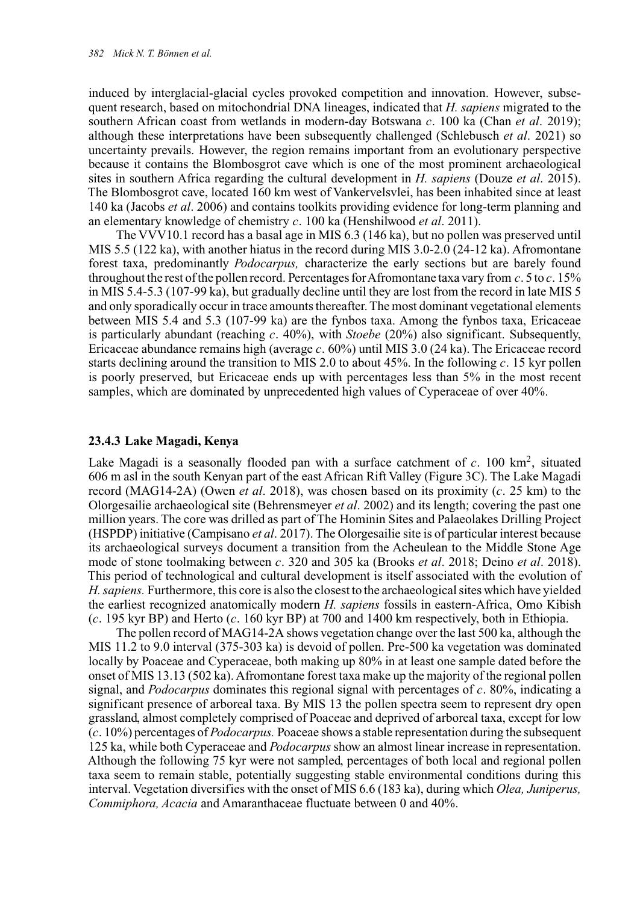induced by interglacial-glacial cycles provoked competition and innovation. However, subsequent research, based on mitochondrial DNA lineages, indicated that *H. sapiens* migrated to the southern African coast from wetlands in modern-day Botswana *c.* 100 ka (Chan *et al*. 2019); although these interpretations have been subsequently challenged (Schlebusch *et al*. 2021) so uncertainty prevails. However, the region remains important from an evolutionary perspective because it contains the Blombosgrot cave which is one of the most prominent archaeological sites in southern Africa regarding the cultural development in *H. sapiens* (Douze *et al*. 2015). The Blombosgrot cave, located 160 km west of Vankervelsvlei, has been inhabited since at least 140 ka (Jacobs *et al*. 2006) and contains toolkits providing evidence for long-term planning and an elementary knowledge of chemistry *c.* 100 ka (Henshilwood *et al*. 2011).

The VVV10.1 record has a basal age in MIS 6.3 (146 ka), but no pollen was preserved until MIS 5.5 (122 ka), with another hiatus in the record during MIS 3.0-2.0 (24-12 ka). Afromontane forest taxa, predominantly *Podocarpus,* characterize the early sections but are barely found throughout the rest of the pollen record. Percentages forAfromontane taxa vary from *c.* 5 to *c.* 15% in MIS 5.4-5.3 (107-99 ka), but gradually decline until they are lost from the record in late MIS 5 and only sporadically occur in trace amounts thereafter. The most dominant vegetational elements between MIS 5.4 and 5.3 (107-99 ka) are the fynbos taxa. Among the fynbos taxa, Ericaceae is particularly abundant (reaching *c.* 40%), with *Stoebe* (20%) also significant. Subsequently, Ericaceae abundance remains high (average *c.* 60%) until MIS 3.0 (24 ka). The Ericaceae record starts declining around the transition to MIS 2.0 to about 45%. In the following *c.* 15 kyr pollen is poorly preserved, but Ericaceae ends up with percentages less than 5% in the most recent samples, which are dominated by unprecedented high values of Cyperaceae of over 40%.

#### **23.4.3 Lake Magadi, Kenya**

Lake Magadi is a seasonally flooded pan with a surface catchment of  $c$ . 100 km<sup>2</sup>, situated 606 m asl in the south Kenyan part of the east African Rift Valley (Figure 3C). The Lake Magadi record (MAG14-2A) (Owen *et al*. 2018), was chosen based on its proximity (*c.* 25 km) to the Olorgesailie archaeological site (Behrensmeyer *et al*. 2002) and its length; covering the past one million years. The core was drilled as part of The Hominin Sites and Palaeolakes Drilling Project (HSPDP) initiative (Campisano *et al*. 2017). The Olorgesailie site is of particular interest because its archaeological surveys document a transition from the Acheulean to the Middle Stone Age mode of stone toolmaking between *c.* 320 and 305 ka (Brooks *et al*. 2018; Deino *et al*. 2018). This period of technological and cultural development is itself associated with the evolution of *H. sapiens.* Furthermore, this core is also the closest to the archaeological sites which have yielded the earliest recognized anatomically modern *H. sapiens* fossils in eastern-Africa, Omo Kibish (*c.* 195 kyr BP) and Herto (*c.* 160 kyr BP) at 700 and 1400 km respectively, both in Ethiopia.

The pollen record of MAG14-2A shows vegetation change over the last 500 ka, although the MIS 11.2 to 9.0 interval (375-303 ka) is devoid of pollen. Pre-500 ka vegetation was dominated locally by Poaceae and Cyperaceae, both making up 80% in at least one sample dated before the onset of MIS 13.13 (502 ka). Afromontane forest taxa make up the majority of the regional pollen signal, and *Podocarpus* dominates this regional signal with percentages of *c.* 80%, indicating a significant presence of arboreal taxa. By MIS 13 the pollen spectra seem to represent dry open grassland, almost completely comprised of Poaceae and deprived of arboreal taxa, except for low (*c.* 10%) percentages of *Podocarpus.* Poaceae shows a stable representation during the subsequent 125 ka, while both Cyperaceae and *Podocarpus* show an almost linear increase in representation. Although the following 75 kyr were not sampled, percentages of both local and regional pollen taxa seem to remain stable, potentially suggesting stable environmental conditions during this interval. Vegetation diversifies with the onset of MIS 6.6 (183 ka), during which *Olea, Juniperus, Commiphora, Acacia* and Amaranthaceae fluctuate between 0 and 40%.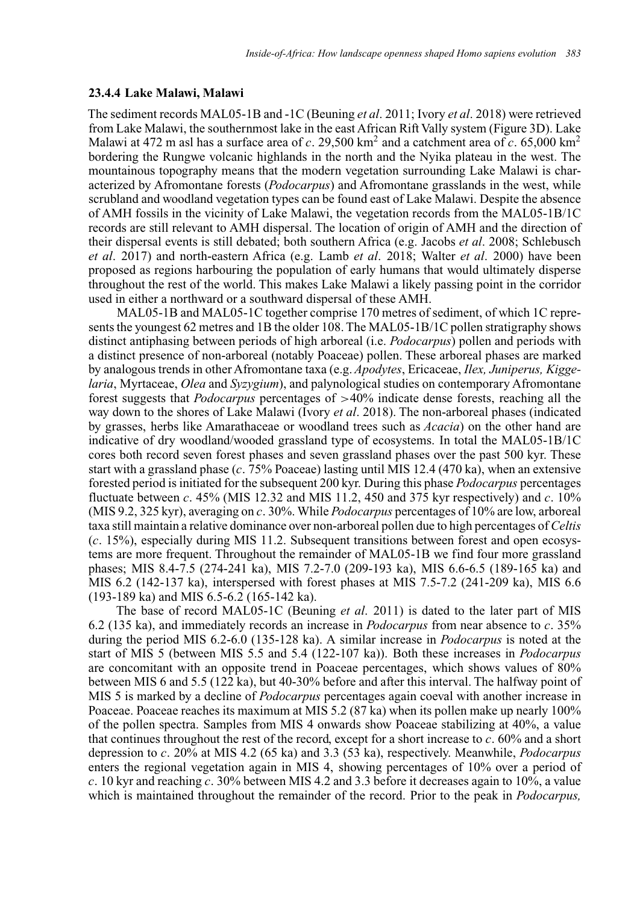#### **23.4.4 Lake Malawi, Malawi**

The sediment records MAL05-1B and -1C (Beuning *et al*. 2011; Ivory *et al*. 2018) were retrieved from Lake Malawi, the southernmost lake in the east African Rift Vally system (Figure 3D). Lake Malawi at 472 m asl has a surface area of *c*. 29,500 km<sup>2</sup> and a catchment area of *c*. 65,000 km<sup>2</sup> bordering the Rungwe volcanic highlands in the north and the Nyika plateau in the west. The mountainous topography means that the modern vegetation surrounding Lake Malawi is characterized by Afromontane forests (*Podocarpus*) and Afromontane grasslands in the west, while scrubland and woodland vegetation types can be found east of Lake Malawi. Despite the absence of AMH fossils in the vicinity of Lake Malawi, the vegetation records from the MAL05-1B/1C records are still relevant to AMH dispersal. The location of origin of AMH and the direction of their dispersal events is still debated; both southern Africa (e.g. Jacobs *et al*. 2008; Schlebusch *et al*. 2017) and north-eastern Africa (e.g. Lamb *et al*. 2018; Walter *et al*. 2000) have been proposed as regions harbouring the population of early humans that would ultimately disperse throughout the rest of the world. This makes Lake Malawi a likely passing point in the corridor used in either a northward or a southward dispersal of these AMH.

MAL05-1B and MAL05-1C together comprise 170 metres of sediment, of which 1C represents the youngest 62 metres and 1B the older 108. The MAL05-1B/1C pollen stratigraphy shows distinct antiphasing between periods of high arboreal (i.e. *Podocarpus*) pollen and periods with a distinct presence of non-arboreal (notably Poaceae) pollen. These arboreal phases are marked by analogous trends in other Afromontane taxa (e.g. *Apodytes*, Ericaceae, *Ilex, Juniperus, Kiggelaria*, Myrtaceae, *Olea* and *Syzygium*), and palynological studies on contemporary Afromontane forest suggests that *Podocarpus* percentages of *>*40% indicate dense forests, reaching all the way down to the shores of Lake Malawi (Ivory *et al*. 2018). The non-arboreal phases (indicated by grasses, herbs like Amarathaceae or woodland trees such as *Acacia*) on the other hand are indicative of dry woodland/wooded grassland type of ecosystems. In total the MAL05-1B/1C cores both record seven forest phases and seven grassland phases over the past 500 kyr. These start with a grassland phase (*c.* 75% Poaceae) lasting until MIS 12.4 (470 ka), when an extensive forested period is initiated for the subsequent 200 kyr. During this phase *Podocarpus* percentages fluctuate between *c.* 45% (MIS 12.32 and MIS 11.2, 450 and 375 kyr respectively) and *c.* 10% (MIS 9.2, 325 kyr), averaging on *c.* 30%. While *Podocarpus* percentages of 10% are low, arboreal taxa still maintain a relative dominance over non-arboreal pollen due to high percentages of *Celtis* (*c.* 15%), especially during MIS 11.2. Subsequent transitions between forest and open ecosystems are more frequent. Throughout the remainder of MAL05-1B we find four more grassland phases; MIS 8.4-7.5 (274-241 ka), MIS 7.2-7.0 (209-193 ka), MIS 6.6-6.5 (189-165 ka) and MIS 6.2 (142-137 ka), interspersed with forest phases at MIS 7.5-7.2 (241-209 ka), MIS 6.6 (193-189 ka) and MIS 6.5-6.2 (165-142 ka).

The base of record MAL05-1C (Beuning *et al*. 2011) is dated to the later part of MIS 6.2 (135 ka), and immediately records an increase in *Podocarpus* from near absence to *c.* 35% during the period MIS 6.2-6.0 (135-128 ka). A similar increase in *Podocarpus* is noted at the start of MIS 5 (between MIS 5.5 and 5.4 (122-107 ka)). Both these increases in *Podocarpus* are concomitant with an opposite trend in Poaceae percentages, which shows values of 80% between MIS 6 and 5.5 (122 ka), but 40-30% before and after this interval. The halfway point of MIS 5 is marked by a decline of *Podocarpus* percentages again coeval with another increase in Poaceae. Poaceae reaches its maximum at MIS 5.2 (87 ka) when its pollen make up nearly 100% of the pollen spectra. Samples from MIS 4 onwards show Poaceae stabilizing at 40%, a value that continues throughout the rest of the record, except for a short increase to *c.* 60% and a short depression to *c.* 20% at MIS 4.2 (65 ka) and 3.3 (53 ka), respectively. Meanwhile, *Podocarpus* enters the regional vegetation again in MIS 4, showing percentages of 10% over a period of *c.* 10 kyr and reaching *c.* 30% between MIS 4.2 and 3.3 before it decreases again to 10%, a value which is maintained throughout the remainder of the record. Prior to the peak in *Podocarpus,*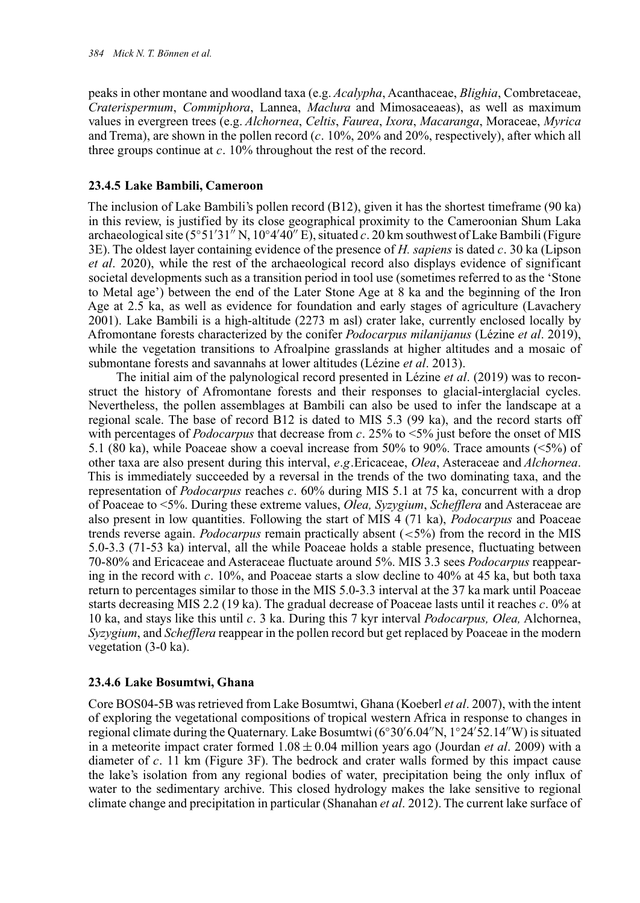peaks in other montane and woodland taxa (e.g. *Acalypha*, Acanthaceae, *Blighia*, Combretaceae, *Craterispermum*, *Commiphora*, Lannea, *Maclura* and Mimosaceaeas), as well as maximum values in evergreen trees (e.g. *Alchornea*, *Celtis*, *Faurea*, *Ixora*, *Macaranga*, Moraceae, *Myrica* and Trema), are shown in the pollen record (*c.* 10%, 20% and 20%, respectively), after which all three groups continue at *c.* 10% throughout the rest of the record.

### **23.4.5 Lake Bambili, Cameroon**

The inclusion of Lake Bambili's pollen record (B12), given it has the shortest timeframe (90 ka) in this review, is justified by its close geographical proximity to the Cameroonian Shum Laka archaeological site (5°51′31″ N, 10°4′40″ E), situated *c*. 20 km southwest of Lake Bambili (Figure 3E). The oldest layer containing evidence of the presence of *H. sapiens* is dated *c.* 30 ka (Lipson *et al*. 2020), while the rest of the archaeological record also displays evidence of significant societal developments such as a transition period in tool use (sometimes referred to as the 'Stone to Metal age') between the end of the Later Stone Age at 8 ka and the beginning of the Iron Age at 2.5 ka, as well as evidence for foundation and early stages of agriculture (Lavachery 2001). Lake Bambili is a high-altitude (2273 m asl) crater lake, currently enclosed locally by Afromontane forests characterized by the conifer *Podocarpus milanijanus* (Lézine *et al*. 2019), while the vegetation transitions to Afroalpine grasslands at higher altitudes and a mosaic of submontane forests and savannahs at lower altitudes (Lézine *et al*. 2013).

The initial aim of the palynological record presented in Lézine *et al*. (2019) was to reconstruct the history of Afromontane forests and their responses to glacial-interglacial cycles. Nevertheless, the pollen assemblages at Bambili can also be used to infer the landscape at a regional scale. The base of record B12 is dated to MIS 5.3 (99 ka), and the record starts off with percentages of *Podocarpus* that decrease from *c.* 25% to <5% just before the onset of MIS 5.1 (80 ka), while Poaceae show a coeval increase from 50% to 90%. Trace amounts (<5%) of other taxa are also present during this interval, *e.g.*Ericaceae, *Olea*, Asteraceae and *Alchornea*. This is immediately succeeded by a reversal in the trends of the two dominating taxa, and the representation of *Podocarpus* reaches *c.* 60% during MIS 5.1 at 75 ka, concurrent with a drop of Poaceae to <5%. During these extreme values, *Olea, Syzygium*, *Schefflera* and Asteraceae are also present in low quantities. Following the start of MIS 4 (71 ka), *Podocarpus* and Poaceae trends reverse again. *Podocarpus* remain practically absent (*<*5%) from the record in the MIS 5.0-3.3 (71-53 ka) interval, all the while Poaceae holds a stable presence, fluctuating between 70-80% and Ericaceae and Asteraceae fluctuate around 5%. MIS 3.3 sees *Podocarpus* reappearing in the record with *c.* 10%, and Poaceae starts a slow decline to 40% at 45 ka, but both taxa return to percentages similar to those in the MIS 5.0-3.3 interval at the 37 ka mark until Poaceae starts decreasing MIS 2.2 (19 ka). The gradual decrease of Poaceae lasts until it reaches *c.* 0% at 10 ka, and stays like this until *c.* 3 ka. During this 7 kyr interval *Podocarpus, Olea,* Alchornea, *Syzygium*, and *Schefflera* reappear in the pollen record but get replaced by Poaceae in the modern vegetation (3-0 ka).

# **23.4.6 Lake Bosumtwi, Ghana**

Core BOS04-5B was retrieved from Lake Bosumtwi, Ghana (Koeberl *et al*. 2007), with the intent of exploring the vegetational compositions of tropical western Africa in response to changes in regional climate during the Quaternary. Lake Bosumtwi (6°30'6.04"N, 1°24'52.14"W) is situated in a meteorite impact crater formed 1.08 ± 0.04 million years ago (Jourdan *et al*. 2009) with a diameter of *c.* 11 km (Figure 3F). The bedrock and crater walls formed by this impact cause the lake's isolation from any regional bodies of water, precipitation being the only influx of water to the sedimentary archive. This closed hydrology makes the lake sensitive to regional climate change and precipitation in particular (Shanahan *et al*. 2012). The current lake surface of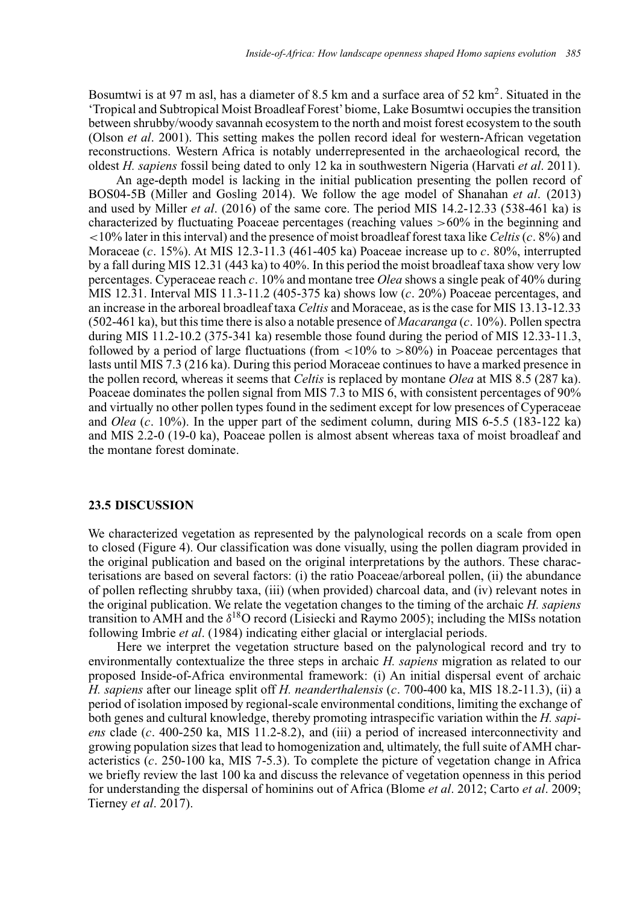Bosumtwi is at 97 m asl, has a diameter of 8.5 km and a surface area of  $52 \text{ km}^2$ . Situated in the 'Tropical and Subtropical Moist Broadleaf Forest'biome, Lake Bosumtwi occupies the transition between shrubby/woody savannah ecosystem to the north and moist forest ecosystem to the south (Olson *et al*. 2001). This setting makes the pollen record ideal for western-African vegetation reconstructions. Western Africa is notably underrepresented in the archaeological record, the oldest *H. sapiens* fossil being dated to only 12 ka in southwestern Nigeria (Harvati *et al*. 2011).

An age-depth model is lacking in the initial publication presenting the pollen record of BOS04-5B (Miller and Gosling 2014). We follow the age model of Shanahan *et al*. (2013) and used by Miller *et al*. (2016) of the same core. The period MIS 14.2-12.33 (538-461 ka) is characterized by fluctuating Poaceae percentages (reaching values *>*60% in the beginning and *<*10% later in this interval) and the presence of moist broadleaf forest taxa like *Celtis*(*c.* 8%) and Moraceae (*c.* 15%). At MIS 12.3-11.3 (461-405 ka) Poaceae increase up to *c.* 80%, interrupted by a fall during MIS 12.31 (443 ka) to 40%. In this period the moist broadleaf taxa show very low percentages. Cyperaceae reach *c.* 10% and montane tree *Olea* shows a single peak of 40% during MIS 12.31. Interval MIS 11.3-11.2 (405-375 ka) shows low (*c.* 20%) Poaceae percentages, and an increase in the arboreal broadleaf taxa *Celtis* and Moraceae, as is the case for MIS 13.13-12.33 (502-461 ka), but this time there is also a notable presence of *Macaranga* (*c.* 10%). Pollen spectra during MIS 11.2-10.2 (375-341 ka) resemble those found during the period of MIS 12.33-11.3, followed by a period of large fluctuations (from *<*10% to *>*80%) in Poaceae percentages that lasts until MIS 7.3 (216 ka). During this period Moraceae continues to have a marked presence in the pollen record, whereas it seems that *Celtis* is replaced by montane *Olea* at MIS 8.5 (287 ka). Poaceae dominates the pollen signal from MIS 7.3 to MIS 6, with consistent percentages of 90% and virtually no other pollen types found in the sediment except for low presences of Cyperaceae and *Olea* (*c.* 10%). In the upper part of the sediment column, during MIS 6-5.5 (183-122 ka) and MIS 2.2-0 (19-0 ka), Poaceae pollen is almost absent whereas taxa of moist broadleaf and the montane forest dominate.

#### **23.5 DISCUSSION**

We characterized vegetation as represented by the palynological records on a scale from open to closed (Figure 4). Our classification was done visually, using the pollen diagram provided in the original publication and based on the original interpretations by the authors. These characterisations are based on several factors: (i) the ratio Poaceae/arboreal pollen, (ii) the abundance of pollen reflecting shrubby taxa, (iii) (when provided) charcoal data, and (iv) relevant notes in the original publication. We relate the vegetation changes to the timing of the archaic *H. sapiens* transition to AMH and the *δ*18O record (Lisiecki and Raymo 2005); including the MISs notation following Imbrie *et al*. (1984) indicating either glacial or interglacial periods.

Here we interpret the vegetation structure based on the palynological record and try to environmentally contextualize the three steps in archaic *H. sapiens* migration as related to our proposed Inside-of-Africa environmental framework: (i) An initial dispersal event of archaic *H. sapiens* after our lineage split off *H. neanderthalensis* (*c.* 700-400 ka, MIS 18.2-11.3), (ii) a period of isolation imposed by regional-scale environmental conditions, limiting the exchange of both genes and cultural knowledge, thereby promoting intraspecific variation within the *H. sapiens* clade (*c.* 400-250 ka, MIS 11.2-8.2), and (iii) a period of increased interconnectivity and growing population sizes that lead to homogenization and, ultimately, the full suite of AMH characteristics (*c.* 250-100 ka, MIS 7-5.3). To complete the picture of vegetation change in Africa we briefly review the last 100 ka and discuss the relevance of vegetation openness in this period for understanding the dispersal of hominins out of Africa (Blome *et al*. 2012; Carto *et al*. 2009; Tierney *et al*. 2017).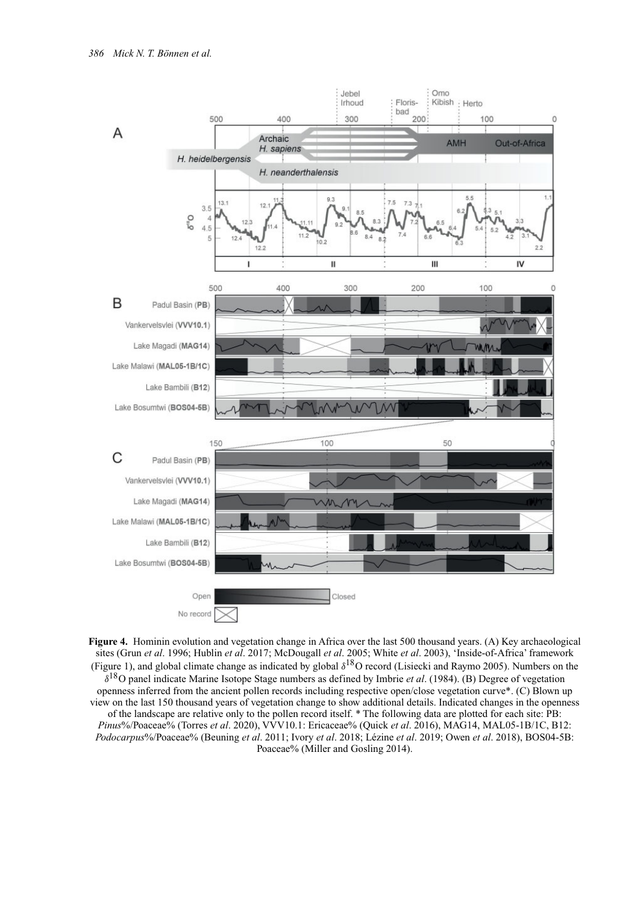

**Figure 4.** Hominin evolution and vegetation change in Africa over the last 500 thousand years. (A) Key archaeological sites (Grun *et al*. 1996; Hublin *et al*. 2017; McDougall *et al*. 2005; White *et al*. 2003), 'Inside-of-Africa' framework (Figure 1), and global climate change as indicated by global *δ*18O record (Lisiecki and Raymo 2005). Numbers on the *δ*18O panel indicate Marine Isotope Stage numbers as defined by Imbrie *et al*. (1984). (B) Degree of vegetation openness inferred from the ancient pollen records including respective open/close vegetation curve\*. (C) Blown up view on the last 150 thousand years of vegetation change to show additional details. Indicated changes in the openness of the landscape are relative only to the pollen record itself. \* The following data are plotted for each site: PB: *Pinus*%/Poaceae% (Torres *et al*. 2020), VVV10.1: Ericaceae% (Quick *et al*. 2016), MAG14, MAL05-1B/1C, B12: *Podocarpus*%/Poaceae% (Beuning *et al*. 2011; Ivory *et al*. 2018; Lézine *et al*. 2019; Owen *et al*. 2018), BOS04-5B: Poaceae% (Miller and Gosling 2014).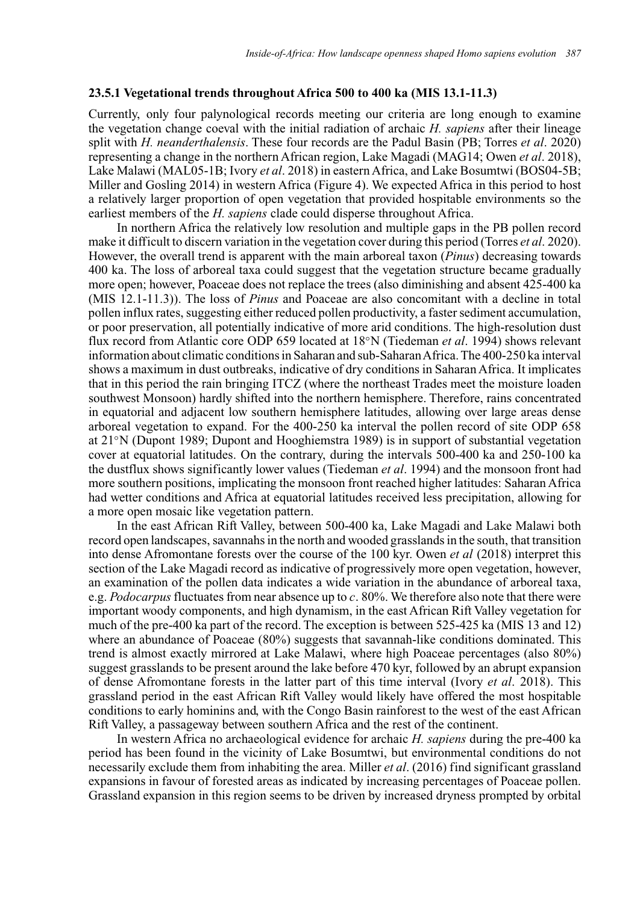## **23.5.1 Vegetational trends throughout Africa 500 to 400 ka (MIS 13.1-11.3)**

Currently, only four palynological records meeting our criteria are long enough to examine the vegetation change coeval with the initial radiation of archaic *H. sapiens* after their lineage split with *H. neanderthalensis*. These four records are the Padul Basin (PB; Torres *et al*. 2020) representing a change in the northern African region, Lake Magadi (MAG14; Owen *et al*. 2018), Lake Malawi (MAL05-1B; Ivory *et al*. 2018) in eastern Africa, and Lake Bosumtwi (BOS04-5B; Miller and Gosling 2014) in western Africa (Figure 4). We expected Africa in this period to host a relatively larger proportion of open vegetation that provided hospitable environments so the earliest members of the *H. sapiens* clade could disperse throughout Africa.

In northern Africa the relatively low resolution and multiple gaps in the PB pollen record make it difficult to discern variation in the vegetation cover during this period (Torres *et al*. 2020). However, the overall trend is apparent with the main arboreal taxon (*Pinus*) decreasing towards 400 ka. The loss of arboreal taxa could suggest that the vegetation structure became gradually more open; however, Poaceae does not replace the trees (also diminishing and absent 425-400 ka (MIS 12.1-11.3)). The loss of *Pinus* and Poaceae are also concomitant with a decline in total pollen influx rates, suggesting either reduced pollen productivity, a faster sediment accumulation, or poor preservation, all potentially indicative of more arid conditions. The high-resolution dust flux record from Atlantic core ODP 659 located at 18◦N (Tiedeman *et al*. 1994) shows relevant information about climatic conditions in Saharan and sub-SaharanAfrica. The 400-250 ka interval shows a maximum in dust outbreaks, indicative of dry conditions in Saharan Africa. It implicates that in this period the rain bringing ITCZ (where the northeast Trades meet the moisture loaden southwest Monsoon) hardly shifted into the northern hemisphere. Therefore, rains concentrated in equatorial and adjacent low southern hemisphere latitudes, allowing over large areas dense arboreal vegetation to expand. For the 400-250 ka interval the pollen record of site ODP 658 at 21◦N (Dupont 1989; Dupont and Hooghiemstra 1989) is in support of substantial vegetation cover at equatorial latitudes. On the contrary, during the intervals 500-400 ka and 250-100 ka the dustflux shows significantly lower values (Tiedeman *et al*. 1994) and the monsoon front had more southern positions, implicating the monsoon front reached higher latitudes: Saharan Africa had wetter conditions and Africa at equatorial latitudes received less precipitation, allowing for a more open mosaic like vegetation pattern.

In the east African Rift Valley, between 500-400 ka, Lake Magadi and Lake Malawi both record open landscapes, savannahs in the north and wooded grasslands in the south, that transition into dense Afromontane forests over the course of the 100 kyr. Owen *et al* (2018) interpret this section of the Lake Magadi record as indicative of progressively more open vegetation, however, an examination of the pollen data indicates a wide variation in the abundance of arboreal taxa, e.g. *Podocarpus*fluctuates from near absence up to *c.* 80%. We therefore also note that there were important woody components, and high dynamism, in the east African Rift Valley vegetation for much of the pre-400 ka part of the record. The exception is between 525-425 ka (MIS 13 and 12) where an abundance of Poaceae (80%) suggests that savannah-like conditions dominated. This trend is almost exactly mirrored at Lake Malawi, where high Poaceae percentages (also 80%) suggest grasslands to be present around the lake before 470 kyr, followed by an abrupt expansion of dense Afromontane forests in the latter part of this time interval (Ivory *et al*. 2018). This grassland period in the east African Rift Valley would likely have offered the most hospitable conditions to early hominins and, with the Congo Basin rainforest to the west of the east African Rift Valley, a passageway between southern Africa and the rest of the continent.

In western Africa no archaeological evidence for archaic *H. sapiens* during the pre-400 ka period has been found in the vicinity of Lake Bosumtwi, but environmental conditions do not necessarily exclude them from inhabiting the area. Miller *et al*. (2016) find significant grassland expansions in favour of forested areas as indicated by increasing percentages of Poaceae pollen. Grassland expansion in this region seems to be driven by increased dryness prompted by orbital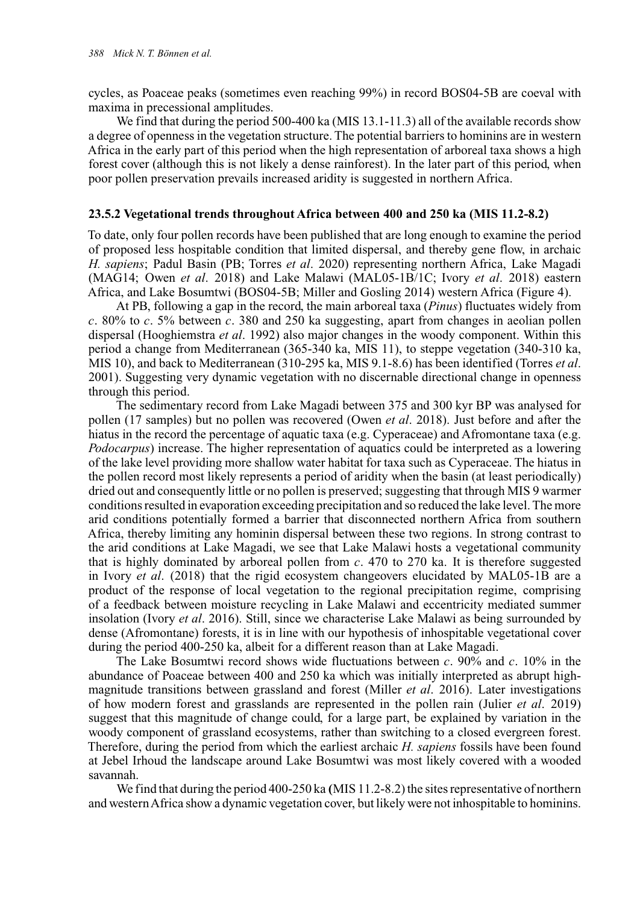cycles, as Poaceae peaks (sometimes even reaching 99%) in record BOS04-5B are coeval with maxima in precessional amplitudes.

We find that during the period 500-400 ka (MIS 13.1-11.3) all of the available records show a degree of openness in the vegetation structure. The potential barriers to hominins are in western Africa in the early part of this period when the high representation of arboreal taxa shows a high forest cover (although this is not likely a dense rainforest). In the later part of this period, when poor pollen preservation prevails increased aridity is suggested in northern Africa.

#### **23.5.2 Vegetational trends throughout Africa between 400 and 250 ka (MIS 11.2-8.2)**

To date, only four pollen records have been published that are long enough to examine the period of proposed less hospitable condition that limited dispersal, and thereby gene flow, in archaic *H. sapiens*; Padul Basin (PB; Torres *et al*. 2020) representing northern Africa, Lake Magadi (MAG14; Owen *et al*. 2018) and Lake Malawi (MAL05-1B/1C; Ivory *et al*. 2018) eastern Africa, and Lake Bosumtwi (BOS04-5B; Miller and Gosling 2014) western Africa (Figure 4).

At PB, following a gap in the record, the main arboreal taxa (*Pinus*) fluctuates widely from *c.* 80% to *c.* 5% between *c.* 380 and 250 ka suggesting, apart from changes in aeolian pollen dispersal (Hooghiemstra *et al*. 1992) also major changes in the woody component. Within this period a change from Mediterranean (365-340 ka, MIS 11), to steppe vegetation (340-310 ka, MIS 10), and back to Mediterranean (310-295 ka, MIS 9.1-8.6) has been identified (Torres *et al*. 2001). Suggesting very dynamic vegetation with no discernable directional change in openness through this period.

The sedimentary record from Lake Magadi between 375 and 300 kyr BP was analysed for pollen (17 samples) but no pollen was recovered (Owen *et al*. 2018). Just before and after the hiatus in the record the percentage of aquatic taxa (e.g. Cyperaceae) and Afromontane taxa (e.g. *Podocarpus*) increase. The higher representation of aquatics could be interpreted as a lowering of the lake level providing more shallow water habitat for taxa such as Cyperaceae. The hiatus in the pollen record most likely represents a period of aridity when the basin (at least periodically) dried out and consequently little or no pollen is preserved; suggesting that through MIS 9 warmer conditions resulted in evaporation exceeding precipitation and so reduced the lake level. The more arid conditions potentially formed a barrier that disconnected northern Africa from southern Africa, thereby limiting any hominin dispersal between these two regions. In strong contrast to the arid conditions at Lake Magadi, we see that Lake Malawi hosts a vegetational community that is highly dominated by arboreal pollen from *c.* 470 to 270 ka. It is therefore suggested in Ivory *et al*. (2018) that the rigid ecosystem changeovers elucidated by MAL05-1B are a product of the response of local vegetation to the regional precipitation regime, comprising of a feedback between moisture recycling in Lake Malawi and eccentricity mediated summer insolation (Ivory *et al*. 2016). Still, since we characterise Lake Malawi as being surrounded by dense (Afromontane) forests, it is in line with our hypothesis of inhospitable vegetational cover during the period 400-250 ka, albeit for a different reason than at Lake Magadi.

The Lake Bosumtwi record shows wide fluctuations between *c.* 90% and *c.* 10% in the abundance of Poaceae between 400 and 250 ka which was initially interpreted as abrupt highmagnitude transitions between grassland and forest (Miller *et al*. 2016). Later investigations of how modern forest and grasslands are represented in the pollen rain (Julier *et al*. 2019) suggest that this magnitude of change could, for a large part, be explained by variation in the woody component of grassland ecosystems, rather than switching to a closed evergreen forest. Therefore, during the period from which the earliest archaic *H. sapiens* fossils have been found at Jebel Irhoud the landscape around Lake Bosumtwi was most likely covered with a wooded savannah.

We find that during the period 400-250 ka **(**MIS 11.2-8.2) the sites representative of northern and westernAfrica show a dynamic vegetation cover, but likely were not inhospitable to hominins.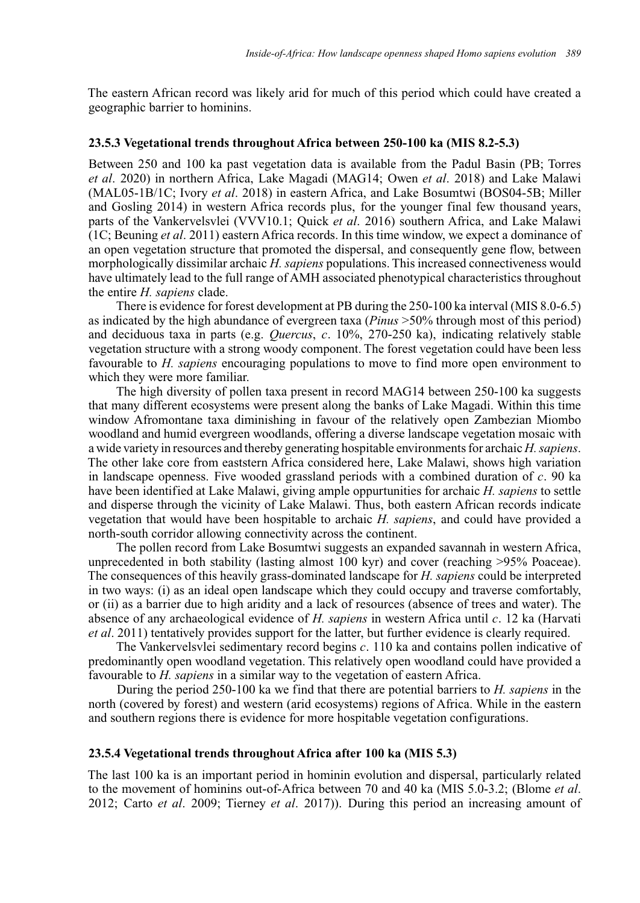The eastern African record was likely arid for much of this period which could have created a geographic barrier to hominins.

#### **23.5.3 Vegetational trends throughout Africa between 250-100 ka (MIS 8.2-5.3)**

Between 250 and 100 ka past vegetation data is available from the Padul Basin (PB; Torres *et al*. 2020) in northern Africa, Lake Magadi (MAG14; Owen *et al*. 2018) and Lake Malawi (MAL05-1B/1C; Ivory *et al*. 2018) in eastern Africa, and Lake Bosumtwi (BOS04-5B; Miller and Gosling 2014) in western Africa records plus, for the younger final few thousand years, parts of the Vankervelsvlei (VVV10.1; Quick *et al*. 2016) southern Africa, and Lake Malawi (1C; Beuning *et al*. 2011) eastern Africa records. In this time window, we expect a dominance of an open vegetation structure that promoted the dispersal, and consequently gene flow, between morphologically dissimilar archaic *H. sapiens* populations. This increased connectiveness would have ultimately lead to the full range of AMH associated phenotypical characteristics throughout the entire *H. sapiens* clade.

There is evidence for forest development at PB during the 250-100 ka interval (MIS 8.0-6.5) as indicated by the high abundance of evergreen taxa (*Pinus* >50% through most of this period) and deciduous taxa in parts (e.g. *Quercus*, *c.* 10%, 270-250 ka), indicating relatively stable vegetation structure with a strong woody component. The forest vegetation could have been less favourable to *H. sapiens* encouraging populations to move to find more open environment to which they were more familiar.

The high diversity of pollen taxa present in record MAG14 between 250-100 ka suggests that many different ecosystems were present along the banks of Lake Magadi. Within this time window Afromontane taxa diminishing in favour of the relatively open Zambezian Miombo woodland and humid evergreen woodlands, offering a diverse landscape vegetation mosaic with a wide variety in resources and thereby generating hospitable environments for archaic *H. sapiens*. The other lake core from eaststern Africa considered here, Lake Malawi, shows high variation in landscape openness. Five wooded grassland periods with a combined duration of *c.* 90 ka have been identified at Lake Malawi, giving ample oppurtunities for archaic *H. sapiens* to settle and disperse through the vicinity of Lake Malawi. Thus, both eastern African records indicate vegetation that would have been hospitable to archaic *H. sapiens*, and could have provided a north-south corridor allowing connectivity across the continent.

The pollen record from Lake Bosumtwi suggests an expanded savannah in western Africa, unprecedented in both stability (lasting almost 100 kyr) and cover (reaching >95% Poaceae). The consequences of this heavily grass-dominated landscape for *H. sapiens* could be interpreted in two ways: (i) as an ideal open landscape which they could occupy and traverse comfortably, or (ii) as a barrier due to high aridity and a lack of resources (absence of trees and water). The absence of any archaeological evidence of *H. sapiens* in western Africa until *c.* 12 ka (Harvati *et al*. 2011) tentatively provides support for the latter, but further evidence is clearly required.

The Vankervelsvlei sedimentary record begins *c.* 110 ka and contains pollen indicative of predominantly open woodland vegetation. This relatively open woodland could have provided a favourable to *H. sapiens* in a similar way to the vegetation of eastern Africa.

During the period 250-100 ka we find that there are potential barriers to *H. sapiens* in the north (covered by forest) and western (arid ecosystems) regions of Africa. While in the eastern and southern regions there is evidence for more hospitable vegetation configurations*.*

### **23.5.4 Vegetational trends throughout Africa after 100 ka (MIS 5.3)**

The last 100 ka is an important period in hominin evolution and dispersal, particularly related to the movement of hominins out-of-Africa between 70 and 40 ka (MIS 5.0-3.2; (Blome *et al*. 2012; Carto *et al*. 2009; Tierney *et al*. 2017)). During this period an increasing amount of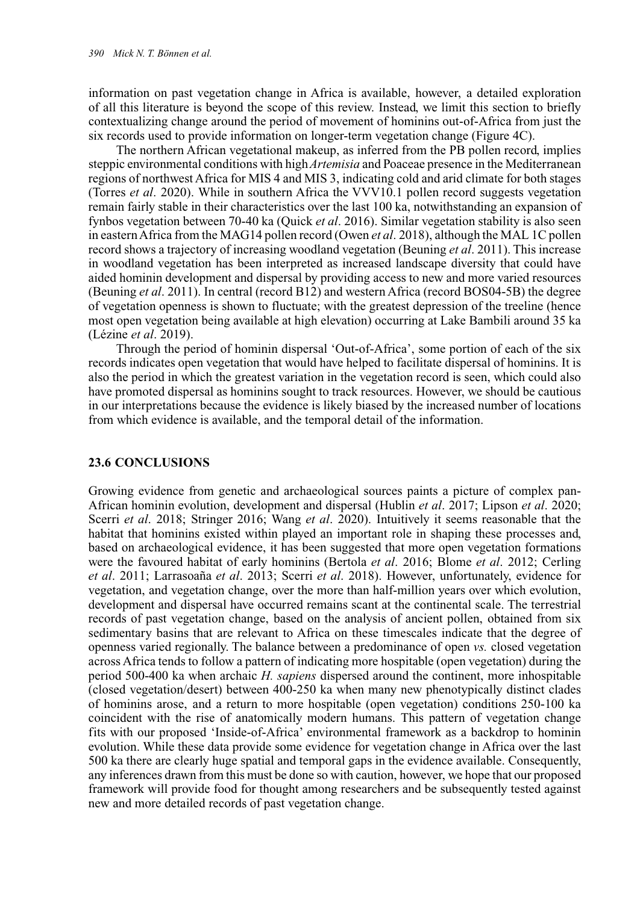information on past vegetation change in Africa is available, however, a detailed exploration of all this literature is beyond the scope of this review. Instead, we limit this section to briefly contextualizing change around the period of movement of hominins out-of-Africa from just the six records used to provide information on longer-term vegetation change (Figure 4C).

The northern African vegetational makeup, as inferred from the PB pollen record, implies steppic environmental conditions with high*Artemisia* and Poaceae presence in the Mediterranean regions of northwest Africa for MIS 4 and MIS 3, indicating cold and arid climate for both stages (Torres *et al*. 2020). While in southern Africa the VVV10.1 pollen record suggests vegetation remain fairly stable in their characteristics over the last 100 ka, notwithstanding an expansion of fynbos vegetation between 70-40 ka (Quick *et al*. 2016). Similar vegetation stability is also seen in easternAfrica from the MAG14 pollen record (Owen *et al*. 2018), although the MAL 1C pollen record shows a trajectory of increasing woodland vegetation (Beuning *et al*. 2011). This increase in woodland vegetation has been interpreted as increased landscape diversity that could have aided hominin development and dispersal by providing access to new and more varied resources (Beuning *et al*. 2011). In central (record B12) and western Africa (record BOS04-5B) the degree of vegetation openness is shown to fluctuate; with the greatest depression of the treeline (hence most open vegetation being available at high elevation) occurring at Lake Bambili around 35 ka (Lézine *et al*. 2019).

Through the period of hominin dispersal 'Out-of-Africa', some portion of each of the six records indicates open vegetation that would have helped to facilitate dispersal of hominins. It is also the period in which the greatest variation in the vegetation record is seen, which could also have promoted dispersal as hominins sought to track resources. However, we should be cautious in our interpretations because the evidence is likely biased by the increased number of locations from which evidence is available, and the temporal detail of the information.

#### **23.6 CONCLUSIONS**

Growing evidence from genetic and archaeological sources paints a picture of complex pan-African hominin evolution, development and dispersal (Hublin *et al*. 2017; Lipson *et al*. 2020; Scerri *et al*. 2018; Stringer 2016; Wang *et al*. 2020). Intuitively it seems reasonable that the habitat that hominins existed within played an important role in shaping these processes and, based on archaeological evidence, it has been suggested that more open vegetation formations were the favoured habitat of early hominins (Bertola *et al*. 2016; Blome *et al*. 2012; Cerling *et al*. 2011; Larrasoaña *et al*. 2013; Scerri *et al*. 2018). However, unfortunately, evidence for vegetation, and vegetation change, over the more than half-million years over which evolution, development and dispersal have occurred remains scant at the continental scale. The terrestrial records of past vegetation change, based on the analysis of ancient pollen, obtained from six sedimentary basins that are relevant to Africa on these timescales indicate that the degree of openness varied regionally. The balance between a predominance of open *vs.* closed vegetation across Africa tends to follow a pattern of indicating more hospitable (open vegetation) during the period 500-400 ka when archaic *H. sapiens* dispersed around the continent, more inhospitable (closed vegetation/desert) between 400-250 ka when many new phenotypically distinct clades of hominins arose, and a return to more hospitable (open vegetation) conditions 250-100 ka coincident with the rise of anatomically modern humans. This pattern of vegetation change fits with our proposed 'Inside-of-Africa' environmental framework as a backdrop to hominin evolution. While these data provide some evidence for vegetation change in Africa over the last 500 ka there are clearly huge spatial and temporal gaps in the evidence available. Consequently, any inferences drawn from this must be done so with caution, however, we hope that our proposed framework will provide food for thought among researchers and be subsequently tested against new and more detailed records of past vegetation change.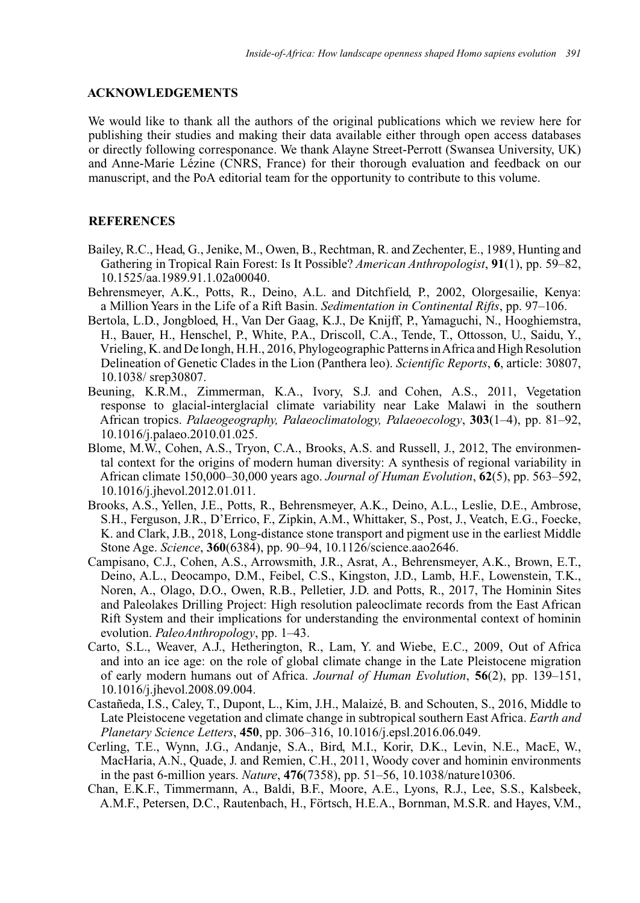## **ACKNOWLEDGEMENTS**

We would like to thank all the authors of the original publications which we review here for publishing their studies and making their data available either through open access databases or directly following corresponance. We thank Alayne Street-Perrott (Swansea University, UK) and Anne-Marie Lézine (CNRS, France) for their thorough evaluation and feedback on our manuscript, and the PoA editorial team for the opportunity to contribute to this volume.

# **REFERENCES**

- Bailey, R.C., Head, G., Jenike, M., Owen, B., Rechtman, R. and Zechenter, E., 1989, Hunting and Gathering in Tropical Rain Forest: Is It Possible? *American Anthropologist*, **91**(1), pp. 59–82, 10.1525/aa.1989.91.1.02a00040.
- Behrensmeyer, A.K., Potts, R., Deino, A.L. and Ditchfield, P., 2002, Olorgesailie, Kenya: a Million Years in the Life of a Rift Basin. *Sedimentation in Continental Rifts*, pp. 97–106.
- Bertola, L.D., Jongbloed, H., Van Der Gaag, K.J., De Knijff, P., Yamaguchi, N., Hooghiemstra, H., Bauer, H., Henschel, P., White, P.A., Driscoll, C.A., Tende, T., Ottosson, U., Saidu, Y., Vrieling, K. and De Iongh, H.H., 2016, Phylogeographic Patterns inAfrica and High Resolution Delineation of Genetic Clades in the Lion (Panthera leo). *Scientific Reports*, **6**, article: 30807, 10.1038/ srep30807.
- Beuning, K.R.M., Zimmerman, K.A., Ivory, S.J. and Cohen, A.S., 2011, Vegetation response to glacial-interglacial climate variability near Lake Malawi in the southern African tropics. *Palaeogeography, Palaeoclimatology, Palaeoecology*, **303**(1–4), pp. 81–92, 10.1016/j.palaeo.2010.01.025.
- Blome, M.W., Cohen, A.S., Tryon, C.A., Brooks, A.S. and Russell, J., 2012, The environmental context for the origins of modern human diversity: A synthesis of regional variability in African climate 150,000–30,000 years ago. *Journal of Human Evolution*, **62**(5), pp. 563–592, 10.1016/j.jhevol.2012.01.011.
- Brooks, A.S., Yellen, J.E., Potts, R., Behrensmeyer, A.K., Deino, A.L., Leslie, D.E., Ambrose, S.H., Ferguson, J.R., D'Errico, F., Zipkin, A.M., Whittaker, S., Post, J., Veatch, E.G., Foecke, K. and Clark, J.B., 2018, Long-distance stone transport and pigment use in the earliest Middle Stone Age. *Science*, **360**(6384), pp. 90–94, 10.1126/science.aao2646.
- Campisano, C.J., Cohen, A.S., Arrowsmith, J.R., Asrat, A., Behrensmeyer, A.K., Brown, E.T., Deino, A.L., Deocampo, D.M., Feibel, C.S., Kingston, J.D., Lamb, H.F., Lowenstein, T.K., Noren, A., Olago, D.O., Owen, R.B., Pelletier, J.D. and Potts, R., 2017, The Hominin Sites and Paleolakes Drilling Project: High resolution paleoclimate records from the East African Rift System and their implications for understanding the environmental context of hominin evolution. *PaleoAnthropology*, pp. 1–43.
- Carto, S.L., Weaver, A.J., Hetherington, R., Lam, Y. and Wiebe, E.C., 2009, Out of Africa and into an ice age: on the role of global climate change in the Late Pleistocene migration of early modern humans out of Africa. *Journal of Human Evolution*, **56**(2), pp. 139–151, 10.1016/j.jhevol.2008.09.004.
- Castañeda, I.S., Caley, T., Dupont, L., Kim, J.H., Malaizé, B. and Schouten, S., 2016, Middle to Late Pleistocene vegetation and climate change in subtropical southern East Africa. *Earth and Planetary Science Letters*, **450**, pp. 306–316, 10.1016/j.epsl.2016.06.049.
- Cerling, T.E., Wynn, J.G., Andanje, S.A., Bird, M.I., Korir, D.K., Levin, N.E., MacE, W., MacHaria, A.N., Quade, J. and Remien, C.H., 2011, Woody cover and hominin environments in the past 6-million years. *Nature*, **476**(7358), pp. 51–56, 10.1038/nature10306.
- Chan, E.K.F., Timmermann, A., Baldi, B.F., Moore, A.E., Lyons, R.J., Lee, S.S., Kalsbeek, A.M.F., Petersen, D.C., Rautenbach, H., Förtsch, H.E.A., Bornman, M.S.R. and Hayes, V.M.,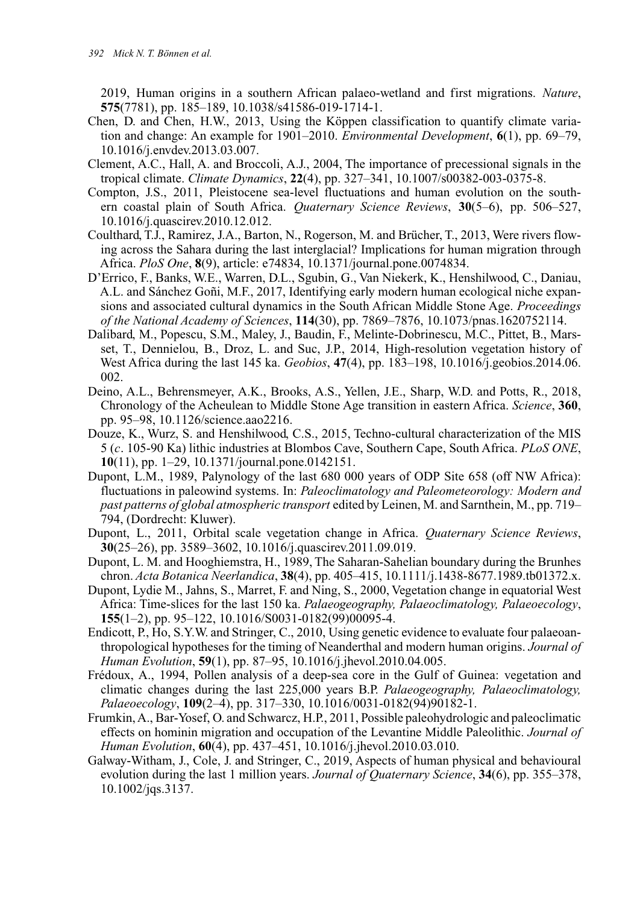2019, Human origins in a southern African palaeo-wetland and first migrations. *Nature*, **575**(7781), pp. 185–189, 10.1038/s41586-019-1714-1.

- Chen, D. and Chen, H.W., 2013, Using the Köppen classification to quantify climate variation and change: An example for 1901–2010. *Environmental Development*, **6**(1), pp. 69–79, 10.1016/j.envdev.2013.03.007.
- Clement, A.C., Hall, A. and Broccoli, A.J., 2004, The importance of precessional signals in the tropical climate. *Climate Dynamics*, **22**(4), pp. 327–341, 10.1007/s00382-003-0375-8.
- Compton, J.S., 2011, Pleistocene sea-level fluctuations and human evolution on the southern coastal plain of South Africa. *Quaternary Science Reviews*, **30**(5–6), pp. 506–527, 10.1016/j.quascirev.2010.12.012.
- Coulthard, T.J., Ramirez, J.A., Barton, N., Rogerson, M. and Brücher, T., 2013, Were rivers flowing across the Sahara during the last interglacial? Implications for human migration through Africa. *PloS One*, **8**(9), article: e74834, 10.1371/journal.pone.0074834.
- D'Errico, F., Banks, W.E., Warren, D.L., Sgubin, G., Van Niekerk, K., Henshilwood, C., Daniau, A.L. and Sánchez Goñi, M.F., 2017, Identifying early modern human ecological niche expansions and associated cultural dynamics in the South African Middle Stone Age. *Proceedings of the National Academy of Sciences*, **114**(30), pp. 7869–7876, 10.1073/pnas.1620752114.
- Dalibard, M., Popescu, S.M., Maley, J., Baudin, F., Melinte-Dobrinescu, M.C., Pittet, B., Marsset, T., Dennielou, B., Droz, L. and Suc, J.P., 2014, High-resolution vegetation history of West Africa during the last 145 ka. *Geobios*, **47**(4), pp. 183–198, 10.1016/j.geobios.2014.06. 002.
- Deino, A.L., Behrensmeyer, A.K., Brooks, A.S., Yellen, J.E., Sharp, W.D. and Potts, R., 2018, Chronology of the Acheulean to Middle Stone Age transition in eastern Africa. *Science*, **360**, pp. 95–98, 10.1126/science.aao2216.
- Douze, K., Wurz, S. and Henshilwood, C.S., 2015, Techno-cultural characterization of the MIS 5 (*c.* 105-90 Ka) lithic industries at Blombos Cave, Southern Cape, South Africa. *PLoS ONE*, **10**(11), pp. 1–29, 10.1371/journal.pone.0142151.
- Dupont, L.M., 1989, Palynology of the last 680 000 years of ODP Site 658 (off NW Africa): fluctuations in paleowind systems. In: *Paleoclimatology and Paleometeorology: Modern and past patterns of global atmospheric transport* edited by Leinen, M. and Sarnthein, M., pp. 719– 794, (Dordrecht: Kluwer).
- Dupont, L., 2011, Orbital scale vegetation change in Africa. *Quaternary Science Reviews*, **30**(25–26), pp. 3589–3602, 10.1016/j.quascirev.2011.09.019.
- Dupont, L. M. and Hooghiemstra, H., 1989, The Saharan-Sahelian boundary during the Brunhes chron. *Acta Botanica Neerlandica*, **38**(4), pp. 405–415, 10.1111/j.1438-8677.1989.tb01372.x.
- Dupont, Lydie M., Jahns, S., Marret, F. and Ning, S., 2000, Vegetation change in equatorial West Africa: Time-slices for the last 150 ka. *Palaeogeography, Palaeoclimatology, Palaeoecology*, **155**(1–2), pp. 95–122, 10.1016/S0031-0182(99)00095-4.
- Endicott, P., Ho, S.Y.W. and Stringer, C., 2010, Using genetic evidence to evaluate four palaeoanthropological hypotheses for the timing of Neanderthal and modern human origins. *Journal of Human Evolution*, **59**(1), pp. 87–95, 10.1016/j.jhevol.2010.04.005.
- Frédoux, A., 1994, Pollen analysis of a deep-sea core in the Gulf of Guinea: vegetation and climatic changes during the last 225,000 years B.P. *Palaeogeography, Palaeoclimatology, Palaeoecology*, **109**(2–4), pp. 317–330, 10.1016/0031-0182(94)90182-1.
- Frumkin, A., Bar-Yosef, O. and Schwarcz, H.P., 2011, Possible paleohydrologic and paleoclimatic effects on hominin migration and occupation of the Levantine Middle Paleolithic. *Journal of Human Evolution*, **60**(4), pp. 437–451, 10.1016/j.jhevol.2010.03.010.
- Galway-Witham, J., Cole, J. and Stringer, C., 2019, Aspects of human physical and behavioural evolution during the last 1 million years. *Journal of Quaternary Science*, **34**(6), pp. 355–378, 10.1002/jqs.3137.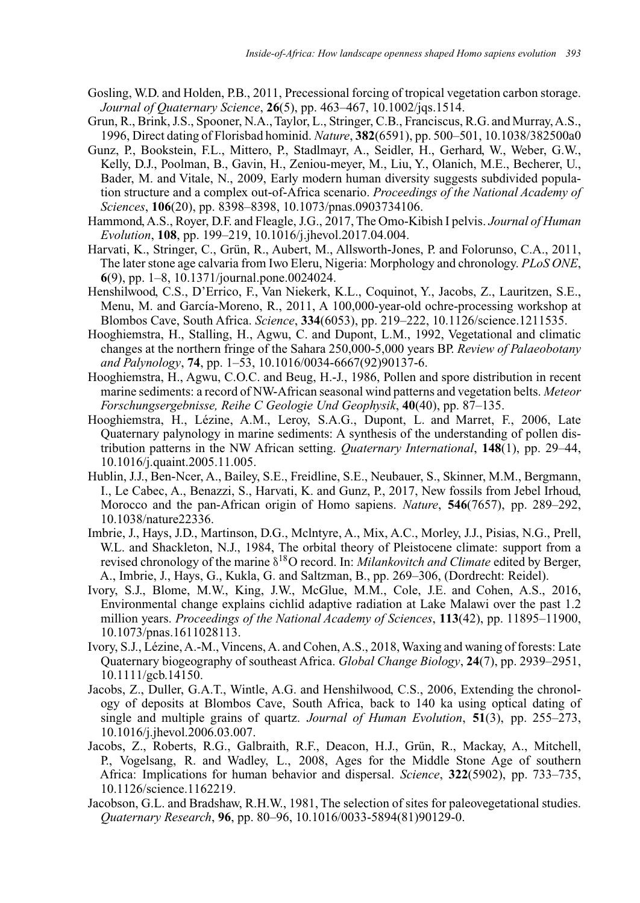- Gosling, W.D. and Holden, P.B., 2011, Precessional forcing of tropical vegetation carbon storage. *Journal of Quaternary Science*, **26**(5), pp. 463–467, 10.1002/jqs.1514.
- Grun, R., Brink, J.S., Spooner, N.A., Taylor, L., Stringer, C.B., Franciscus, R.G. and Murray, A.S., 1996, Direct dating of Florisbad hominid. *Nature*, **382**(6591), pp. 500–501, 10.1038/382500a0
- Gunz, P., Bookstein, F.L., Mittero, P., Stadlmayr, A., Seidler, H., Gerhard, W., Weber, G.W., Kelly, D.J., Poolman, B., Gavin, H., Zeniou-meyer, M., Liu, Y., Olanich, M.E., Becherer, U., Bader, M. and Vitale, N., 2009, Early modern human diversity suggests subdivided population structure and a complex out-of-Africa scenario. *Proceedings of the National Academy of Sciences*, **106**(20), pp. 8398–8398, 10.1073/pnas.0903734106.
- Hammond, A.S., Royer, D.F. and Fleagle, J.G., 2017, The Omo-Kibish I pelvis. *Journal of Human Evolution*, **[108](#page--1-1)**, pp. [199–219](#page--1-1), 10.1016/j.jhevol.2017.04.004.
- Harvati, K., Stringer, C., Grün, R., Aubert, M., Allsworth-Jones, P. and Folorunso, C.A., 2011, The later stone age calvaria from Iwo Eleru, Nigeria: Morphology and chronology. *PLoS ONE*, **6**(9), pp. [1–8](#page--1-1), 10.1371/journal.pone.0024024.
- Henshilwood, C.S., D'Errico, F., Van Niekerk, K.L., Coquinot, Y., Jacobs, Z., Lauritzen, S.E., Menu, M. and García-Moreno, R., 2011, A [100](#page--1-1),000-year-old ochre-processing workshop at Blombos Cave, South Africa. *Science*, **334**(6053), pp. [219–222](#page--1-1), 10.1126/science.1211535.
- Hooghiemstra, H., Stalling, H., Agwu, C. and Dupont, L.M., 1992, Vegetational and climatic changes at the northern fringe of the Sahara [250](#page--1-1),000[-5](#page--1-1),000 years BP. *Review of Palaeobotany and Palynology*, **[74](#page--1-1)**, pp. [1–53](#page--1-1), 10.1016[/0034](#page--1-1)-6667(92)90137[-6](#page--1-1).
- Hooghiemstra, H., Agwu, C.O.C. and Beug, H.-J., 1986, Pollen and spore distribution in recent marine sediments: a record of NW-African seasonal wind patterns and vegetation belts. *Meteor Forschungsergebnisse, Reihe C Geologie Und Geophysik*, **40**(40), pp. [87–135.](#page--1-1)
- Hooghiemstra, H., Lézine, A.M., Leroy, S.A.G., Dupont, L. and Marret, F., 2006, Late Quaternary palynology in marine sediments: A synthesis of the understanding of pollen distribution patterns in the NW African setting. *Quaternary International*, **148**(1), pp. [29–44,](#page--1-1) 10.1016/j.quaint.2005.11.005.
- Hublin, J.J., Ben-Ncer, A., Bailey, S.E., Freidline, S.E., Neubauer, S., Skinner, M.M., Bergmann, I., Le Cabec, A., Benazzi, S., Harvati, K. and Gunz, P., 2017, New fossils from Jebel Irhoud, Morocco and the pan-African origin of Homo sapiens. *Nature*, **546**(7657), pp. [289–292,](#page--1-1) 10.1038/nature22336.
- Imbrie, J., Hays, J.D., Martinson, D.G., Mclntyre, A., Mix, A.C., Morley, J.J., Pisias, N.G., Prell, W.L. and Shackleton, N.J., 1984, The orbital theory of Pleistocene climate: support from a revised chronology of the marine δ18O record. In: *Milankovitch and Climate* edited by Berger, A., Imbrie, J., Hays, G., Kukla, G. and Saltzman, B., pp. [269–306,](#page--1-1) (Dordrecht: Reidel).
- Ivory, S.J., Blome, M.W., King, J.W., McGlue, M.M., Cole, J.E. and Cohen, A.S., 2016, Environmental change explains cichlid adaptive radiation at Lake Malawi over the past 1.2 million years. *Proceedings of the National Academy of Sciences*, **113**(42), pp. 11895–11900, 10.1073/pnas.1611028113.
- Ivory, S.J., Lézine, A.-M., Vincens, A. and Cohen, A.S., 2018, Waxing and waning of forests: Late Quaternary biogeography of southeast Africa. *Global Change Biology*, **24**(7), pp. 2939–2951, 10.1111/gcb.14150.
- Jacobs, Z., Duller, G.A.T., Wintle, A.G. and Henshilwood, C.S., 2006, Extending the chronology of deposits at Blombos Cave, South Africa, back to [140](#page--1-1) ka using optical dating of single and multiple grains of quartz. *Journal of Human Evolution*, **51**(3), pp. [255–273,](#page--1-1) 10.1016/j.jhevol.2006.03.007.
- Jacobs, Z., Roberts, R.G., Galbraith, R.F., Deacon, H.J., Grün, R., Mackay, A., Mitchell, P., Vogelsang, R. and Wadley, L., 2008, Ages for the Middle Stone Age of southern Africa: Implications for human behavior and dispersal. *Science*, **322**(5902), pp. 733–735, 10.1126/science.1162219.
- Jacobson, G.L. and Bradshaw, R.H.W., 1981, The selection of sites for paleovegetational studies. *Quaternary Research*, **[96](#page--1-1)**, pp. [80](#page--1-1)–[96,](#page--1-1) 10.1016[/0033](#page--1-1)-5894(81)90129-0.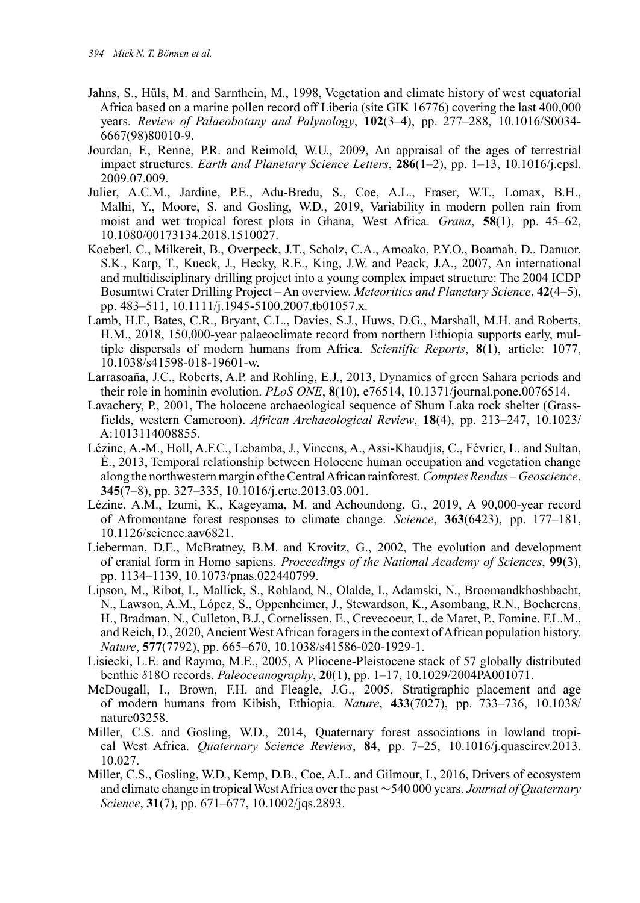- Jahns, S., Hüls, M. and Sarnthein, M., 1998, Vegetation and climate history of west equatorial Africa based on a marine pollen record off Liberia (site GIK 16776) covering the last [400,](#page--1-1)000 years. *Review of Palaeobotany and Palynology*, **102**[\(3](#page--1-1)–4), pp. [277–288](#page--1-1), 10.1016/S0034- 6667(98)80010[-9](#page--1-1).
- Jourdan, F., Renne, P.R. and Reimold, W.U., 2009, An appraisal of the ages of terrestrial impact structures. *Earth and Planetary Science Letters*, **286**([1–](#page--1-1)2), pp. [1–13](#page--1-1), 10.1016/j.epsl. 2009.07.009.
- Julier, A.C.M., Jardine, P.E., Adu-Bredu, S., Coe, A.L., Fraser, W.T., Lomax, B.H., Malhi, Y., Moore, S. and Gosling, W.D., 2019, Variability in modern pollen rain from moist and wet tropical forest plots in Ghana, West Africa. *Grana*, **58**(1), pp. [45–62,](#page--1-1) 10.1080/00173134.2018.1510027.
- Koeberl, C., Milkereit, B., Overpeck, J.T., Scholz, C.A., Amoako, P.Y.O., Boamah, D., Danuor, S.K., Karp, T., Kueck, J., Hecky, R.E., King, J.W. and Peack, J.A., 2007, An international and multidisciplinary drilling project into a young complex impact structure: The 2004 ICDP Bosumtwi Crater Drilling Project – An overview. *Meteoritics and Planetary Science*, **42**[\(4](#page--1-1)–5), pp. 483–511, 10.1111/j.1945-5100.2007.tb01057.x.
- Lamb, H.F., Bates, C.R., Bryant, C.L., Davies, S.J., Huws, D.G., Marshall, M.H. and Roberts, H.M., 2018, [150,](#page--1-1)000-year palaeoclimate record from northern Ethiopia supports early, multiple dispersals of modern humans from Africa. *Scientific Reports*, **8**(1), article: 1077, 10.1038/s41598-[018-](#page--1-1)19601-w.
- Larrasoaña, J.C., Roberts, A.P. and Rohling, E.J., 2013, Dynamics of green Sahara periods and their role in hominin evolution. *PLoS ONE*, **8**(10), e76514, 10.1371/journal.pone.0076514.
- Lavachery, P., 2001, The holocene archaeological sequence of Shum Laka rock shelter (Grassfields, western Cameroon). *African Archaeological Review*, **18**(4), pp. [213–247,](#page--1-1) 10.1023/ A:1013114008855.
- Lézine, A.-M., Holl, A.F.C., Lebamba, J., Vincens, A., Assi-Khaudjis, C., Février, L. and Sultan, É., 2013, Temporal relationship between Holocene human occupation and vegetation change along the northwestern margin of the CentralAfrican rainforest. *Comptes Rendus – Geoscience*, **345**([7–](#page--1-1)8), pp. [327–335,](#page--1-1) 10.1016/j.crte.2013.03.001.
- Lézine, A.M., Izumi, K., Kageyama, M. and Achoundong, G., 2019, A [90](#page--1-1),000-year record of Afromontane forest responses to climate change. *Science*, **363**(6423), pp. [177–181,](#page--1-1) 10.1126/science.aav6821.
- Lieberman, D.E., McBratney, B.M. and Krovitz, G., 2002, The evolution and development of cranial form in Homo sapiens. *Proceedings of the National Academy of Sciences*, **99**(3), pp. 1134–1139, 10.1073/pnas.022440799.
- Lipson, M., Ribot, I., Mallick, S., Rohland, N., Olalde, I., Adamski, N., Broomandkhoshbacht, N., Lawson, A.M., López, S., Oppenheimer, J., Stewardson, K., Asombang, R.N., Bocherens, H., Bradman, N., Culleton, B.J., Cornelissen, E., Crevecoeur, I., de Maret, P., Fomine, F.L.M., and Reich, D., 2020, Ancient WestAfrican foragers in the context ofAfrican population history. *Nature*, **577**(7792), pp. 665–670, 10.1038/s41586-[020](#page--1-1)-1929[-1](#page--1-1).
- Lisiecki, L.E. and Raymo, M.E., 2005, A Pliocene-Pleistocene stack of [57](#page--1-1) globally distributed benthic *δ*18O records. *Paleoceanography*, **20**(1), pp. [1–17,](#page--1-1) 10.1029/2004PA001071.
- McDougall, I., Brown, F.H. and Fleagle, J.G., 2005, Stratigraphic placement and age of modern humans from Kibish, Ethiopia. *Nature*, **433**(7027), pp. 733–736, 10.1038/ nature03258.
- Miller, C.S. and Gosling, W.D., 2014, Quaternary forest associations in lowland tropical West Africa. *Quaternary Science Reviews*, **[84](#page--1-1)**, pp. [7–25](#page--1-1), 10.1016/j.quascirev.2013. 10.027.
- Miller, C.S., Gosling, W.D., Kemp, D.B., Coe, A.L. and Gilmour, I., 2016, Drivers of ecosystem and climate change in tropical WestAfrica over the past ∼540 000 years. *Journal of Quaternary Science*, **31**(7), pp. 671–677, 10.1002/jqs.2893.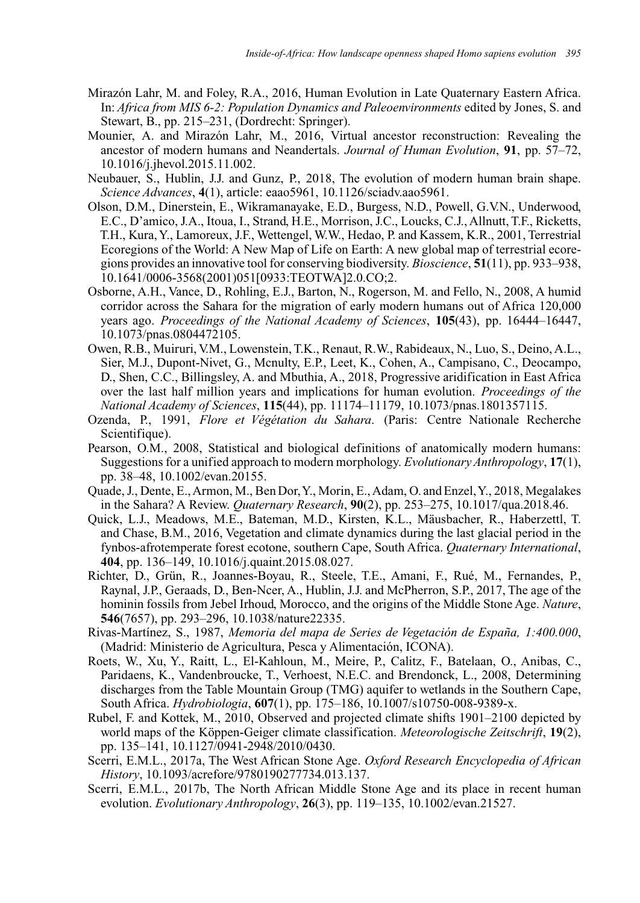- Mirazón Lahr, M. and Foley, R.A., 2016, Human Evolution in Late Quaternary Eastern Africa. In: *Africa from MIS [6-2](#page--1-1): Population Dynamics and Paleoenvironments* edited by Jones, S. and Stewart, B., pp. [215–231](#page--1-1), (Dordrecht: Springer).
- Mounier, A. and Mirazón Lahr, M., 2016, Virtual ancestor reconstruction: Revealing the ancestor of modern humans and Neandertals. *Journal of Human Evolution*, **[91](#page--1-1)**, pp. [57–72,](#page--1-1) 10.1016/j.jhevol.2015.11.002.
- Neubauer, S., Hublin, J.J. and Gunz, P., 2018, The evolution of modern human brain shape. *Science Advances*, **4**(1), article: eaao5961, 10.1126/sciadv.aao5961.
- Olson, D.M., Dinerstein, E., Wikramanayake, E.D., Burgess, N.D., Powell, G.V.N., Underwood, E.C., D'amico, J.A., Itoua, I., Strand, H.E., Morrison, J.C., Loucks, C.J., Allnutt, T.F., Ricketts, T.H., Kura, Y., Lamoreux, J.F., Wettengel, W.W., Hedao, P. and Kassem, K.R., 2001, Terrestrial Ecoregions of the World: A New Map of Life on Earth: A new global map of terrestrial ecoregions provides an innovative tool for conserving biodiversity. *Bioscience*, **51**(11), pp. 933–938, 10.1641/[0006-](#page--1-1)3568(2001)[051](#page--1-1)[0933:TEOTWA]2.0.CO;[2.](#page--1-1)
- Osborne, A.H., Vance, D., Rohling, E.J., Barton, N., Rogerson, M. and Fello, N., 2008, A humid corridor across the Sahara for the migration of early modern humans out of Africa [120,](#page--1-1)000 years ago. *Proceedings of the National Academy of Sciences*, **105**(43), pp. 16444–16447, 10.1073/pnas.0804472105.
- Owen, R.B., Muiruri, V.M., Lowenstein, T.K., Renaut, R.W., Rabideaux, N., Luo, S., Deino, A.L., Sier, M.J., Dupont-Nivet, G., Mcnulty, E.P., Leet, K., Cohen, A., Campisano, C., Deocampo, D., Shen, C.C., Billingsley, A. and Mbuthia, A., 2018, Progressive aridification in East Africa over the last half million years and implications for human evolution. *Proceedings of the National Academy of Sciences*, **115**(44), pp. 11174–11179, 10.1073/pnas.1801357115.
- Ozenda, P., 1991, *Flore et Végétation du Sahara*. (Paris: Centre Nationale Recherche Scientifique).
- Pearson, O.M., 2008, Statistical and biological definitions of anatomically modern humans: Suggestions for a unified approach to modern morphology. *Evolutionary Anthropology*, **17**(1), pp. [38–48,](#page--1-1) 10.1002/evan.20155.
- Quade, J., Dente, E., Armon, M., Ben Dor,Y., Morin, E., Adam, O. and Enzel,Y., 2018, Megalakes in the Sahara? A Review. *Quaternary Research*, **90**(2), pp. [253–275,](#page--1-1) 10.1017/qua.2018.46.
- Quick, L.J., Meadows, M.E., Bateman, M.D., Kirsten, K.L., Mäusbacher, R., Haberzettl, T. and Chase, B.M., 2016, Vegetation and climate dynamics during the last glacial period in the fynbos-afrotemperate forest ecotone, southern Cape, South Africa. *Quaternary International*, **[404](#page--1-1)**, pp. [136–149](#page--1-1), 10.1016/j.quaint.2015.08.027.
- Richter, D., Grün, R., Joannes-Boyau, R., Steele, T.E., Amani, F., Rué, M., Fernandes, P., Raynal, J.P., Geraads, D., Ben-Ncer, A., Hublin, J.J. and McPherron, S.P., 2017, The age of the hominin fossils from Jebel Irhoud, Morocco, and the origins of the Middle Stone Age. *Nature*, **546**(7657), pp. [293–296,](#page--1-1) 10.1038/nature22335.
- Rivas-Martínez, S., 1987, *Memoria del mapa de Series de Vegetación de España, [1:](#page--1-1)400.000*, (Madrid: Ministerio de Agricultura, Pesca y Alimentación, ICONA).
- Roets, W., Xu, Y., Raitt, L., El-Kahloun, M., Meire, P., Calitz, F., Batelaan, O., Anibas, C., Paridaens, K., Vandenbroucke, T., Verhoest, N.E.C. and Brendonck, L., 2008, Determining discharges from the Table Mountain Group (TMG) aquifer to wetlands in the Southern Cape, South Africa. *Hydrobiologia*, **607**(1), pp. [175–186,](#page--1-1) 10.1007/s10750-[008-](#page--1-1)9389-x.
- Rubel, F. and Kottek, M., 2010, Observed and projected climate shifts 1901–2100 depicted by world maps of the Köppen-Geiger climate classification. *Meteorologische Zeitschrift*, **19**(2), pp. [135–141](#page--1-1), 10.1127/0941-2948/2010/0430.
- Scerri, E.M.L., 2017a, The West African Stone Age. *Oxford Research Encyclopedia of African History*, 10.1093/acrefore/9780190277734.013.137.
- Scerri, E.M.L., 2017b, The North African Middle Stone Age and its place in recent human evolution. *Evolutionary Anthropology*, **26**(3), pp. [119–135](#page--1-1), 10.1002/evan.21527.